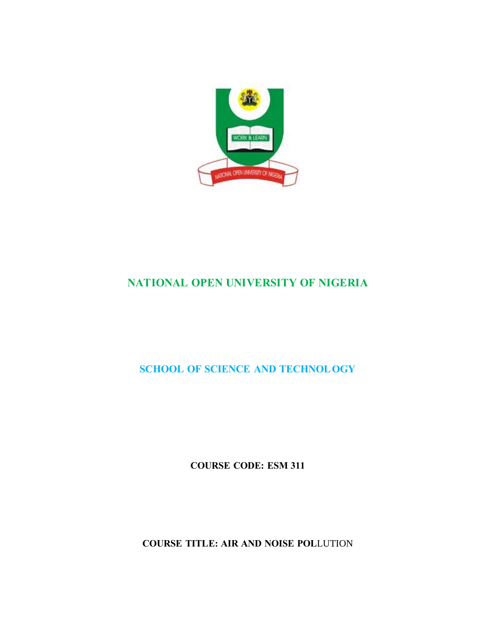

# **NATIONAL OPEN UNIVERSITY OF NIGERIA**

**SCHOOL OF SCIENCE AND TECHNOL OGY** 

**COURSE CODE: ESM 311** 

**COURSE TITLE: AIR AND NOISE POL**LUTION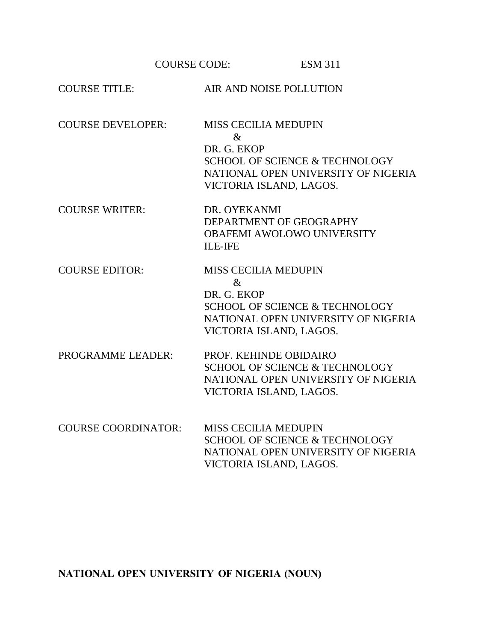COURSE CODE: ESM 311

| <b>COURSE TITLE:</b>       | AIR AND NOISE POLLUTION                                                                                                                                           |
|----------------------------|-------------------------------------------------------------------------------------------------------------------------------------------------------------------|
| <b>COURSE DEVELOPER:</b>   | <b>MISS CECILIA MEDUPIN</b><br>$\&$<br>DR. G. EKOP<br><b>SCHOOL OF SCIENCE &amp; TECHNOLOGY</b><br>NATIONAL OPEN UNIVERSITY OF NIGERIA<br>VICTORIA ISLAND, LAGOS. |
| <b>COURSE WRITER:</b>      | DR. OYEKANMI<br>DEPARTMENT OF GEOGRAPHY<br><b>OBAFEMI AWOLOWO UNIVERSITY</b><br><b>ILE-IFE</b>                                                                    |
| <b>COURSE EDITOR:</b>      | <b>MISS CECILIA MEDUPIN</b><br>$\&$<br>DR. G. EKOP<br><b>SCHOOL OF SCIENCE &amp; TECHNOLOGY</b><br>NATIONAL OPEN UNIVERSITY OF NIGERIA<br>VICTORIA ISLAND, LAGOS. |
| PROGRAMME LEADER:          | PROF. KEHINDE OBIDAIRO<br><b>SCHOOL OF SCIENCE &amp; TECHNOLOGY</b><br>NATIONAL OPEN UNIVERSITY OF NIGERIA<br>VICTORIA ISLAND, LAGOS.                             |
| <b>COURSE COORDINATOR:</b> | <b>MISS CECILIA MEDUPIN</b><br><b>SCHOOL OF SCIENCE &amp; TECHNOLOGY</b><br>NATIONAL OPEN UNIVERSITY OF NIGERIA<br>VICTORIA ISLAND, LAGOS.                        |

**NATIONAL OPEN UNIVERSITY OF NIGERIA (NOUN)**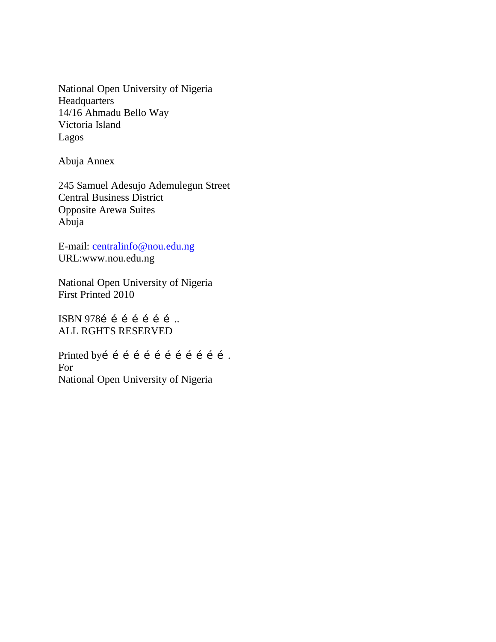National Open University of Nigeria Headquarters 14/16 Ahmadu Bello Way Victoria Island Lagos

Abuja Annex

245 Samuel Adesujo Ademulegun Street Central Business District Opposite Arewa Suites Abuja

E-mail: [centralinfo@nou.edu.ng](mailto:centralinfo@nou-edu.ng) URL:www.nou.edu.ng

National Open University of Nigeria First Printed 2010

ISBN 978í í í í í í í … ALL RGHTS RESERVED

Printed byí í í í í í í í í í í í . For National Open University of Nigeria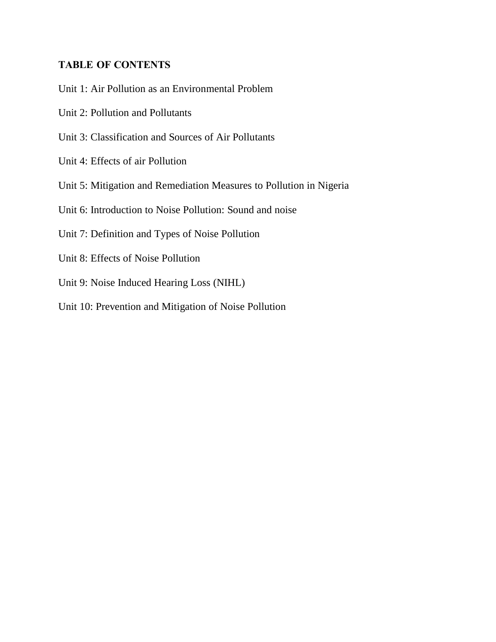# **TABLE OF CONTENTS**

- Unit 1: Air Pollution as an Environmental Problem
- Unit 2: Pollution and Pollutants
- Unit 3: Classification and Sources of Air Pollutants
- Unit 4: Effects of air Pollution
- Unit 5: Mitigation and Remediation Measures to Pollution in Nigeria
- Unit 6: Introduction to Noise Pollution: Sound and noise
- Unit 7: Definition and Types of Noise Pollution
- Unit 8: Effects of Noise Pollution
- Unit 9: Noise Induced Hearing Loss (NIHL)
- Unit 10: Prevention and Mitigation of Noise Pollution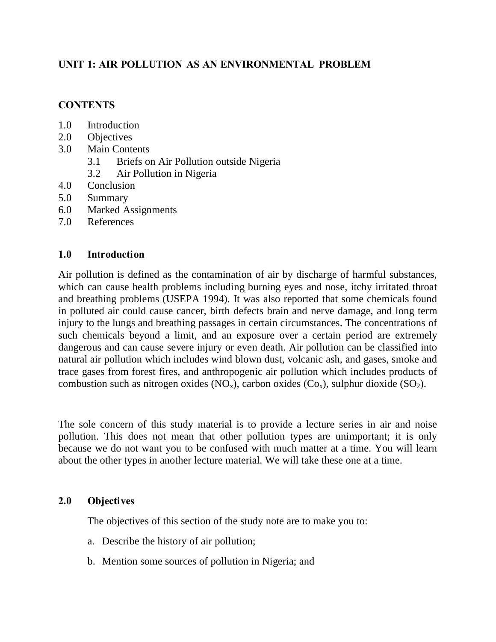# **UNIT 1: AIR POLLUTION AS AN ENVIRONMENTAL PROBLEM**

### **CONTENTS**

- 1.0 Introduction
- 2.0 Objectives
- 3.0 Main Contents
	- 3.1 Briefs on Air Pollution outside Nigeria
	- 3.2 Air Pollution in Nigeria
- 4.0 Conclusion
- 5.0 Summary
- 6.0 Marked Assignments
- 7.0 References

### **1.0 Introduction**

Air pollution is defined as the contamination of air by discharge of harmful substances, which can cause health problems including burning eyes and nose, itchy irritated throat and breathing problems (USEPA 1994). It was also reported that some chemicals found in polluted air could cause cancer, birth defects brain and nerve damage, and long term injury to the lungs and breathing passages in certain circumstances. The concentrations of such chemicals beyond a limit, and an exposure over a certain period are extremely dangerous and can cause severe injury or even death. Air pollution can be classified into natural air pollution which includes wind blown dust, volcanic ash, and gases, smoke and trace gases from forest fires, and anthropogenic air pollution which includes products of combustion such as nitrogen oxides  $(NO_x)$ , carbon oxides  $(Co_x)$ , sulphur dioxide  $(SO_2)$ .

The sole concern of this study material is to provide a lecture series in air and noise pollution. This does not mean that other pollution types are unimportant; it is only because we do not want you to be confused with much matter at a time. You will learn about the other types in another lecture material. We will take these one at a time.

### **2.0 Objectives**

The objectives of this section of the study note are to make you to:

- a. Describe the history of air pollution;
- b. Mention some sources of pollution in Nigeria; and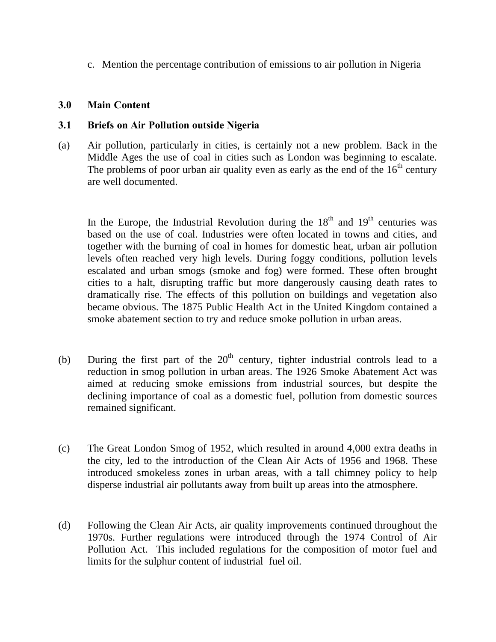c. Mention the percentage contribution of emissions to air pollution in Nigeria

### **3.0 Main Content**

### **3.1 Briefs on Air Pollution outside Nigeria**

(a) Air pollution, particularly in cities, is certainly not a new problem. Back in the Middle Ages the use of coal in cities such as London was beginning to escalate. The problems of poor urban air quality even as early as the end of the  $16<sup>th</sup>$  century are well documented.

In the Europe, the Industrial Revolution during the  $18<sup>th</sup>$  and  $19<sup>th</sup>$  centuries was based on the use of coal. Industries were often located in towns and cities, and together with the burning of coal in homes for domestic heat, urban air pollution levels often reached very high levels. During foggy conditions, pollution levels escalated and urban smogs (smoke and fog) were formed. These often brought cities to a halt, disrupting traffic but more dangerously causing death rates to dramatically rise. The effects of this pollution on buildings and vegetation also became obvious. The 1875 Public Health Act in the United Kingdom contained a smoke abatement section to try and reduce smoke pollution in urban areas.

- (b) During the first part of the  $20<sup>th</sup>$  century, tighter industrial controls lead to a reduction in smog pollution in urban areas. The 1926 Smoke Abatement Act was aimed at reducing smoke emissions from industrial sources, but despite the declining importance of coal as a domestic fuel, pollution from domestic sources remained significant.
- (c) The Great London Smog of 1952, which resulted in around 4,000 extra deaths in the city, led to the introduction of the Clean Air Acts of 1956 and 1968. These introduced smokeless zones in urban areas, with a tall chimney policy to help disperse industrial air pollutants away from built up areas into the atmosphere.
- (d) Following the Clean Air Acts, air quality improvements continued throughout the 1970s. Further regulations were introduced through the 1974 Control of Air Pollution Act. This included regulations for the composition of motor fuel and limits for the sulphur content of industrial fuel oil.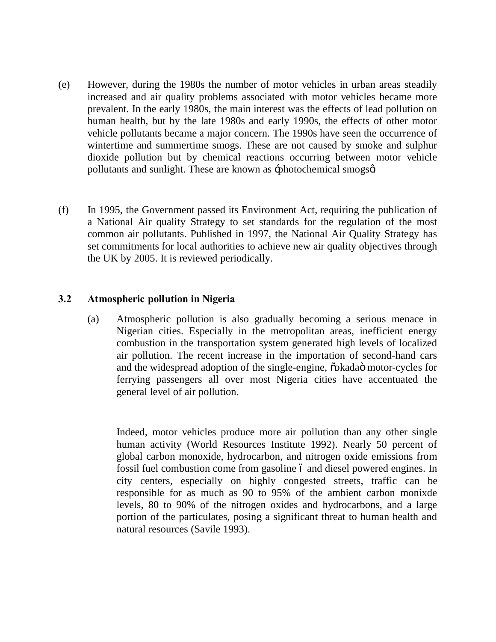- (e) However, during the 1980s the number of motor vehicles in urban areas steadily increased and air quality problems associated with motor vehicles became more prevalent. In the early 1980s, the main interest was the effects of lead pollution on human health, but by the late 1980s and early 1990s, the effects of other motor vehicle pollutants became a major concern. The 1990s have seen the occurrence of wintertime and summertime smogs. These are not caused by smoke and sulphur dioxide pollution but by chemical reactions occurring between motor vehicle pollutants and sunlight. These are known as -photochemical smogso
- (f) In 1995, the Government passed its Environment Act, requiring the publication of a National Air quality Strategy to set standards for the regulation of the most common air pollutants. Published in 1997, the National Air Quality Strategy has set commitments for local authorities to achieve new air quality objectives through the UK by 2005. It is reviewed periodically.

### **3.2 Atmospheric pollution in Nigeria**

(a) Atmospheric pollution is also gradually becoming a serious menace in Nigerian cities. Especially in the metropolitan areas, inefficient energy combustion in the transportation system generated high levels of localized air pollution. The recent increase in the importation of second-hand cars and the widespread adoption of the single-engine,  $\ddot{\text{o}}$  okada motor-cycles for ferrying passengers all over most Nigeria cities have accentuated the general level of air pollution.

Indeed, motor vehicles produce more air pollution than any other single human activity (World Resources Institute 1992). Nearly 50 percent of global carbon monoxide, hydrocarbon, and nitrogen oxide emissions from fossil fuel combustion come from gasoline 6 and diesel powered engines. In city centers, especially on highly congested streets, traffic can be responsible for as much as 90 to 95% of the ambient carbon monixde levels, 80 to 90% of the nitrogen oxides and hydrocarbons, and a large portion of the particulates, posing a significant threat to human health and natural resources (Savile 1993).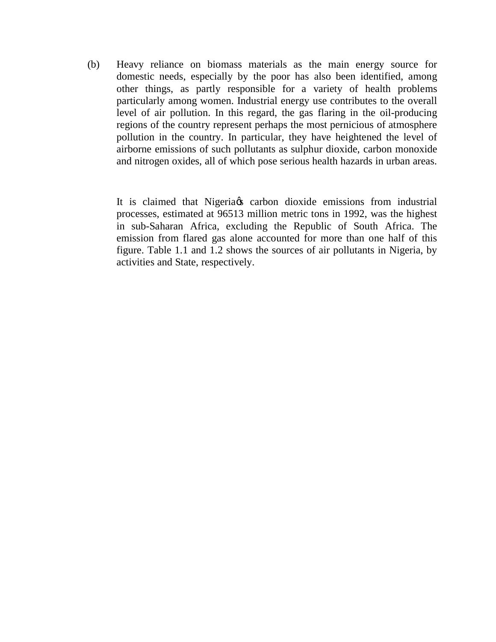(b) Heavy reliance on biomass materials as the main energy source for domestic needs, especially by the poor has also been identified, among other things, as partly responsible for a variety of health problems particularly among women. Industrial energy use contributes to the overall level of air pollution. In this regard, the gas flaring in the oil-producing regions of the country represent perhaps the most pernicious of atmosphere pollution in the country. In particular, they have heightened the level of airborne emissions of such pollutants as sulphur dioxide, carbon monoxide and nitrogen oxides, all of which pose serious health hazards in urban areas.

It is claimed that Nigeria  $\alpha$  carbon dioxide emissions from industrial processes, estimated at 96513 million metric tons in 1992, was the highest in sub-Saharan Africa, excluding the Republic of South Africa. The emission from flared gas alone accounted for more than one half of this figure. Table 1.1 and 1.2 shows the sources of air pollutants in Nigeria, by activities and State, respectively.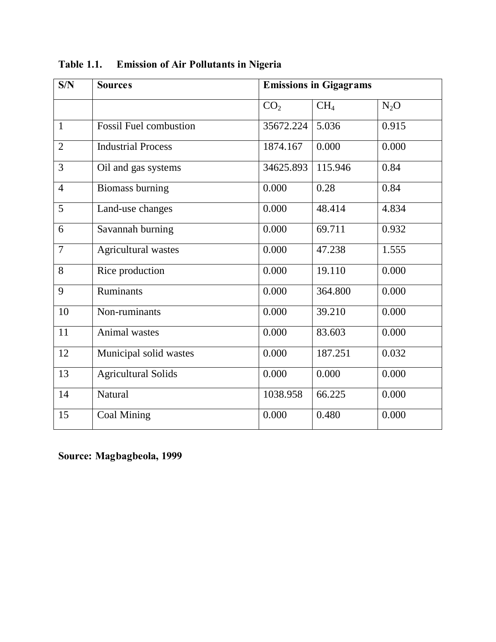| S/N            | <b>Sources</b>                | <b>Emissions in Gigagrams</b> |                 |        |
|----------------|-------------------------------|-------------------------------|-----------------|--------|
|                |                               | CO <sub>2</sub>               | CH <sub>4</sub> | $N_2O$ |
| $\mathbf{1}$   | <b>Fossil Fuel combustion</b> | 35672.224                     | 5.036           | 0.915  |
| $\overline{2}$ | <b>Industrial Process</b>     | 1874.167                      | 0.000           | 0.000  |
| 3              | Oil and gas systems           | 34625.893                     | 115.946         | 0.84   |
| $\overline{4}$ | <b>Biomass burning</b>        | 0.000                         | 0.28            | 0.84   |
| 5              | Land-use changes              | 0.000                         | 48.414          | 4.834  |
| 6              | Savannah burning              | 0.000                         | 69.711          | 0.932  |
| $\overline{7}$ | Agricultural wastes           | 0.000                         | 47.238          | 1.555  |
| 8              | Rice production               | 0.000                         | 19.110          | 0.000  |
| 9              | Ruminants                     | 0.000                         | 364.800         | 0.000  |
| 10             | Non-ruminants                 | 0.000                         | 39.210          | 0.000  |
| 11             | Animal wastes                 | 0.000                         | 83.603          | 0.000  |
| 12             | Municipal solid wastes        | 0.000                         | 187.251         | 0.032  |
| 13             | <b>Agricultural Solids</b>    | 0.000                         | 0.000           | 0.000  |
| 14             | <b>Natural</b>                | 1038.958                      | 66.225          | 0.000  |
| 15             | <b>Coal Mining</b>            | 0.000                         | 0.480           | 0.000  |

**Table 1.1. Emission of Air Pollutants in Nigeria** 

**Source: Magbagbeola, 1999**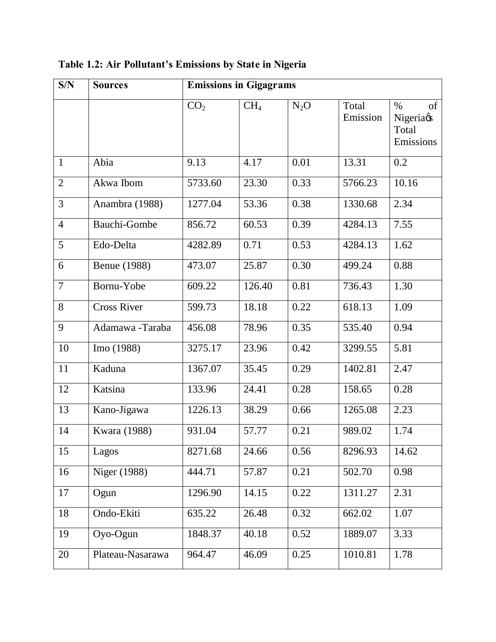| S/N            | <b>Sources</b>      | <b>Emissions in Gigagrams</b> |                 |        |                   |                                               |
|----------------|---------------------|-------------------------------|-----------------|--------|-------------------|-----------------------------------------------|
|                |                     | CO <sub>2</sub>               | CH <sub>4</sub> | $N_2O$ | Total<br>Emission | of<br>$\%$<br>Nigeriags<br>Total<br>Emissions |
| $\mathbf{1}$   | Abia                | 9.13                          | 4.17            | 0.01   | 13.31             | $\overline{0.2}$                              |
| $\overline{2}$ | Akwa Ibom           | 5733.60                       | 23.30           | 0.33   | 5766.23           | 10.16                                         |
| 3              | Anambra (1988)      | 1277.04                       | 53.36           | 0.38   | 1330.68           | 2.34                                          |
| $\overline{4}$ | <b>Bauchi-Gombe</b> | 856.72                        | 60.53           | 0.39   | 4284.13           | 7.55                                          |
| 5              | Edo-Delta           | 4282.89                       | 0.71            | 0.53   | 4284.13           | 1.62                                          |
| 6              | <b>Benue</b> (1988) | 473.07                        | 25.87           | 0.30   | 499.24            | 0.88                                          |
| $\overline{7}$ | Bornu-Yobe          | 609.22                        | 126.40          | 0.81   | 736.43            | 1.30                                          |
| 8              | <b>Cross River</b>  | 599.73                        | 18.18           | 0.22   | 618.13            | 1.09                                          |
| 9              | Adamawa -Taraba     | 456.08                        | 78.96           | 0.35   | 535.40            | 0.94                                          |
| 10             | Imo (1988)          | 3275.17                       | 23.96           | 0.42   | 3299.55           | 5.81                                          |
| 11             | Kaduna              | 1367.07                       | 35.45           | 0.29   | 1402.81           | 2.47                                          |
| 12             | Katsina             | 133.96                        | 24.41           | 0.28   | 158.65            | 0.28                                          |
| 13             | Kano-Jigawa         | 1226.13                       | 38.29           | 0.66   | 1265.08           | 2.23                                          |
| 14             | Kwara (1988)        | 931.04                        | 57.77           | 0.21   | 989.02            | 1.74                                          |
| 15             | Lagos               | 8271.68                       | 24.66           | 0.56   | 8296.93           | 14.62                                         |
| 16             | Niger (1988)        | 444.71                        | 57.87           | 0.21   | 502.70            | 0.98                                          |
| 17             | Ogun                | 1296.90                       | 14.15           | 0.22   | 1311.27           | 2.31                                          |
| 18             | Ondo-Ekiti          | 635.22                        | 26.48           | 0.32   | 662.02            | 1.07                                          |
| 19             | Oyo-Ogun            | 1848.37                       | 40.18           | 0.52   | 1889.07           | 3.33                                          |
| 20             | Plateau-Nasarawa    | 964.47                        | 46.09           | 0.25   | 1010.81           | 1.78                                          |

**Table 1.2: Air Pollutant's Emissions by State in Nigeria**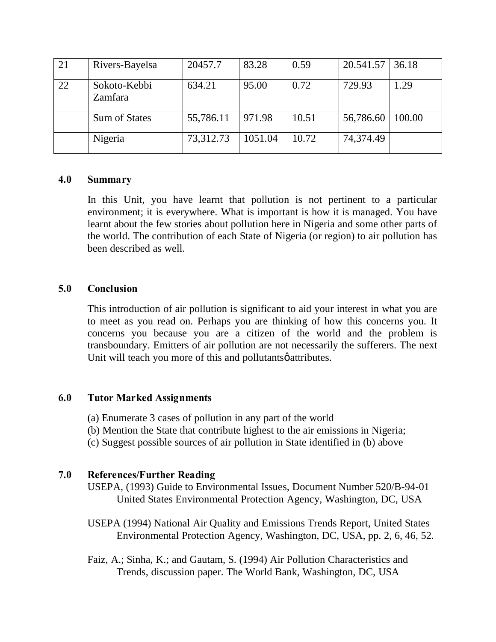| 21 | Rivers-Bayelsa          | 20457.7   | 83.28   | 0.59  | 20.541.57 | 36.18  |
|----|-------------------------|-----------|---------|-------|-----------|--------|
| 22 | Sokoto-Kebbi<br>Zamfara | 634.21    | 95.00   | 0.72  | 729.93    | 1.29   |
|    | <b>Sum of States</b>    | 55,786.11 | 971.98  | 10.51 | 56,786.60 | 100.00 |
|    | Nigeria                 | 73,312.73 | 1051.04 | 10.72 | 74,374.49 |        |

### **4.0 Summary**

In this Unit, you have learnt that pollution is not pertinent to a particular environment; it is everywhere. What is important is how it is managed. You have learnt about the few stories about pollution here in Nigeria and some other parts of the world. The contribution of each State of Nigeria (or region) to air pollution has been described as well.

### **5.0 Conclusion**

This introduction of air pollution is significant to aid your interest in what you are to meet as you read on. Perhaps you are thinking of how this concerns you. It concerns you because you are a citizen of the world and the problem is transboundary. Emitters of air pollution are not necessarily the sufferers. The next Unit will teach you more of this and pollutants  $\phi$  attributes.

### **6.0 Tutor Marked Assignments**

- (a) Enumerate 3 cases of pollution in any part of the world
- (b) Mention the State that contribute highest to the air emissions in Nigeria;
- (c) Suggest possible sources of air pollution in State identified in (b) above

# **7.0 References/Further Reading**

USEPA, (1993) Guide to Environmental Issues, Document Number 520/B-94-01 United States Environmental Protection Agency, Washington, DC, USA

- USEPA (1994) National Air Quality and Emissions Trends Report, United States Environmental Protection Agency, Washington, DC, USA, pp. 2, 6, 46, 52.
- Faiz, A.; Sinha, K.; and Gautam, S. (1994) Air Pollution Characteristics and Trends, discussion paper. The World Bank, Washington, DC, USA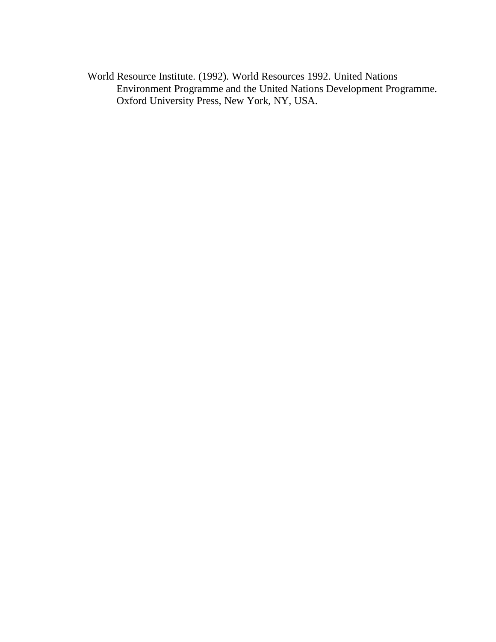World Resource Institute. (1992). World Resources 1992. United Nations Environment Programme and the United Nations Development Programme. Oxford University Press, New York, NY, USA.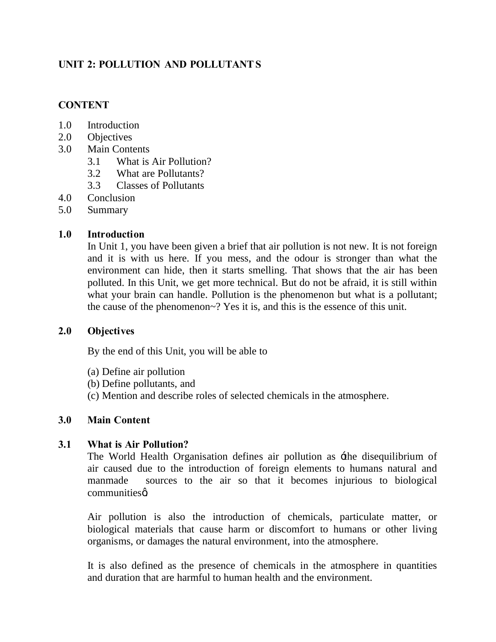# **UNIT 2: POLLUTION AND POLLUTANT S**

# **CONTENT**

- 1.0 Introduction
- 2.0 Objectives
- 3.0 Main Contents
	- 3.1 What is Air Pollution?
	- 3.2 What are Pollutants?
	- 3.3 Classes of Pollutants
- 4.0 Conclusion
- 5.0 Summary

# **1.0 Introduction**

In Unit 1, you have been given a brief that air pollution is not new. It is not foreign and it is with us here. If you mess, and the odour is stronger than what the environment can hide, then it starts smelling. That shows that the air has been polluted. In this Unit, we get more technical. But do not be afraid, it is still within what your brain can handle. Pollution is the phenomenon but what is a pollutant; the cause of the phenomenon~? Yes it is, and this is the essence of this unit.

# **2.0 Objectives**

By the end of this Unit, you will be able to

- (a) Define air pollution
- (b) Define pollutants, and
- (c) Mention and describe roles of selected chemicals in the atmosphere.

# **3.0 Main Content**

# **3.1 What is Air Pollution?**

 The World Health Organisation defines air pollution as 'the disequilibrium of air caused due to the introduction of foreign elements to humans natural and manmade sources to the air so that it becomes injurious to biological communitieso

 Air pollution is also the introduction of chemicals, particulate matter, or biological materials that cause harm or discomfort to humans or other living organisms, or damages the natural environment, into the atmosphere.

 It is also defined as the presence of chemicals in the atmosphere in quantities and duration that are harmful to human health and the environment.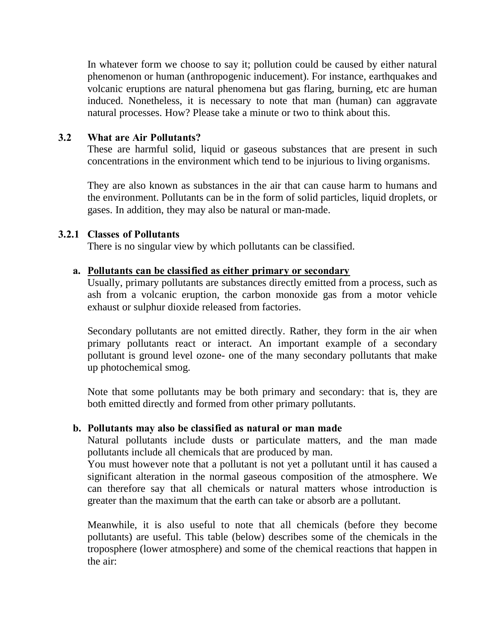In whatever form we choose to say it; pollution could be caused by either natural phenomenon or human (anthropogenic inducement). For instance, earthquakes and volcanic eruptions are natural phenomena but gas flaring, burning, etc are human induced. Nonetheless, it is necessary to note that man (human) can aggravate natural processes. How? Please take a minute or two to think about this.

### **3.2 What are Air Pollutants?**

 These are harmful solid, liquid or gaseous substances that are present in such concentrations in the environment which tend to be injurious to living organisms.

 They are also known as substances in the air that can cause harm to humans and the environment. Pollutants can be in the form of solid particles, liquid droplets, or gases. In addition, they may also be natural or man-made.

### **3.2.1 Classes of Pollutants**

There is no singular view by which pollutants can be classified.

### **a. Pollutants can be classified as either primary or secondary**

Usually, primary pollutants are substances directly emitted from a process, such as ash from a volcanic eruption, the carbon monoxide gas from a motor vehicle exhaust or sulphur dioxide released from factories.

Secondary pollutants are not emitted directly. Rather, they form in the air when primary pollutants react or interact. An important example of a secondary pollutant is ground level ozone- one of the many secondary pollutants that make up photochemical smog.

Note that some pollutants may be both primary and secondary: that is, they are both emitted directly and formed from other primary pollutants.

### **b. Pollutants may also be classified as natural or man made**

Natural pollutants include dusts or particulate matters, and the man made pollutants include all chemicals that are produced by man.

You must however note that a pollutant is not yet a pollutant until it has caused a significant alteration in the normal gaseous composition of the atmosphere. We can therefore say that all chemicals or natural matters whose introduction is greater than the maximum that the earth can take or absorb are a pollutant.

Meanwhile, it is also useful to note that all chemicals (before they become pollutants) are useful. This table (below) describes some of the chemicals in the troposphere (lower atmosphere) and some of the chemical reactions that happen in the air: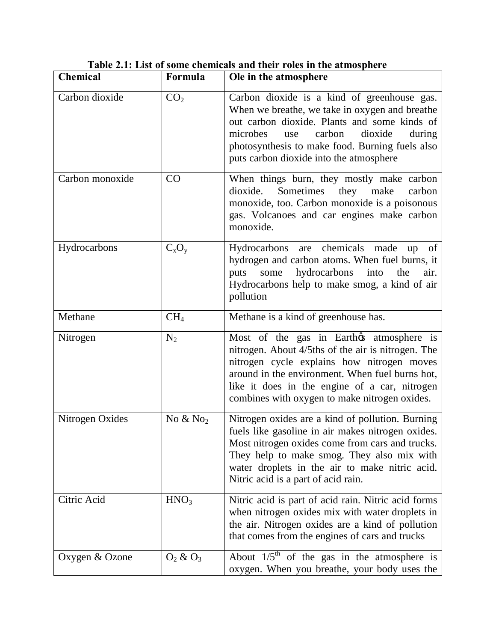| <b>Chemical</b> | Formula                | Ole in the atmosphere                                                                                                                                                                                                                                                                             |
|-----------------|------------------------|---------------------------------------------------------------------------------------------------------------------------------------------------------------------------------------------------------------------------------------------------------------------------------------------------|
| Carbon dioxide  | CO <sub>2</sub>        | Carbon dioxide is a kind of greenhouse gas.<br>When we breathe, we take in oxygen and breathe<br>out carbon dioxide. Plants and some kinds of<br>microbes<br>carbon<br>dioxide<br>during<br>use<br>photosynthesis to make food. Burning fuels also<br>puts carbon dioxide into the atmosphere     |
| Carbon monoxide | CO                     | When things burn, they mostly make carbon<br>dioxide.<br>Sometimes<br>they make<br>carbon<br>monoxide, too. Carbon monoxide is a poisonous<br>gas. Volcanoes and car engines make carbon<br>monoxide.                                                                                             |
| Hydrocarbons    | $C_xO_y$               | Hydrocarbons are chemicals made<br>of<br>up<br>hydrogen and carbon atoms. When fuel burns, it<br>hydrocarbons<br>into<br>puts<br>some<br>the<br>air.<br>Hydrocarbons help to make smog, a kind of air<br>pollution                                                                                |
| Methane         | CH <sub>4</sub>        | Methane is a kind of greenhouse has.                                                                                                                                                                                                                                                              |
| Nitrogen        | $N_2$                  | Most of the gas in Earthos atmosphere is<br>nitrogen. About 4/5ths of the air is nitrogen. The<br>nitrogen cycle explains how nitrogen moves<br>around in the environment. When fuel burns hot,<br>like it does in the engine of a car, nitrogen<br>combines with oxygen to make nitrogen oxides. |
| Nitrogen Oxides | No $&$ No <sub>2</sub> | Nitrogen oxides are a kind of pollution. Burning<br>fuels like gasoline in air makes nitrogen oxides.<br>Most nitrogen oxides come from cars and trucks.<br>They help to make smog. They also mix with<br>water droplets in the air to make nitric acid.<br>Nitric acid is a part of acid rain.   |
| Citric Acid     | HNO <sub>3</sub>       | Nitric acid is part of acid rain. Nitric acid forms<br>when nitrogen oxides mix with water droplets in<br>the air. Nitrogen oxides are a kind of pollution<br>that comes from the engines of cars and trucks                                                                                      |
| Oxygen & Ozone  | $O_2$ & $O_3$          | About $1/5$ <sup>th</sup> of the gas in the atmosphere is<br>oxygen. When you breathe, your body uses the                                                                                                                                                                                         |

 **Table 2.1: List of some chemicals and their roles in the atmosphere**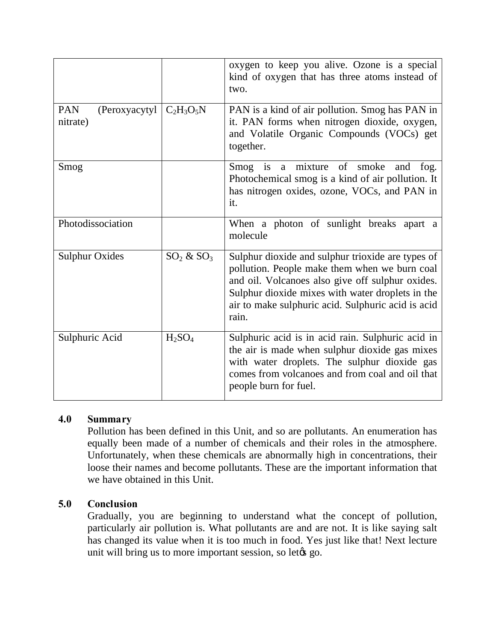|                                         |                                | oxygen to keep you alive. Ozone is a special<br>kind of oxygen that has three atoms instead of<br>two.                                                                                                                                                                    |
|-----------------------------------------|--------------------------------|---------------------------------------------------------------------------------------------------------------------------------------------------------------------------------------------------------------------------------------------------------------------------|
| <b>PAN</b><br>(Peroxyacytyl<br>nitrate) | $C_2H_3O_5N$                   | PAN is a kind of air pollution. Smog has PAN in<br>it. PAN forms when nitrogen dioxide, oxygen,<br>and Volatile Organic Compounds (VOCs) get<br>together.                                                                                                                 |
| Smog                                    |                                | Smog is<br>mixture of smoke<br>fog.<br>a<br>and<br>Photochemical smog is a kind of air pollution. It<br>has nitrogen oxides, ozone, VOCs, and PAN in<br>it.                                                                                                               |
| Photodissociation                       |                                | When a photon of sunlight breaks apart a<br>molecule                                                                                                                                                                                                                      |
| <b>Sulphur Oxides</b>                   | $SO_2 \& SO_3$                 | Sulphur dioxide and sulphur trioxide are types of<br>pollution. People make them when we burn coal<br>and oil. Volcanoes also give off sulphur oxides.<br>Sulphur dioxide mixes with water droplets in the<br>air to make sulphuric acid. Sulphuric acid is acid<br>rain. |
| Sulphuric Acid                          | H <sub>2</sub> SO <sub>4</sub> | Sulphuric acid is in acid rain. Sulphuric acid in<br>the air is made when sulphur dioxide gas mixes<br>with water droplets. The sulphur dioxide gas<br>comes from volcanoes and from coal and oil that<br>people burn for fuel.                                           |

# **4.0 Summary**

Pollution has been defined in this Unit, and so are pollutants. An enumeration has equally been made of a number of chemicals and their roles in the atmosphere. Unfortunately, when these chemicals are abnormally high in concentrations, their loose their names and become pollutants. These are the important information that we have obtained in this Unit.

# **5.0 Conclusion**

Gradually, you are beginning to understand what the concept of pollution, particularly air pollution is. What pollutants are and are not. It is like saying salt has changed its value when it is too much in food. Yes just like that! Next lecture unit will bring us to more important session, so let  $\alpha$  go.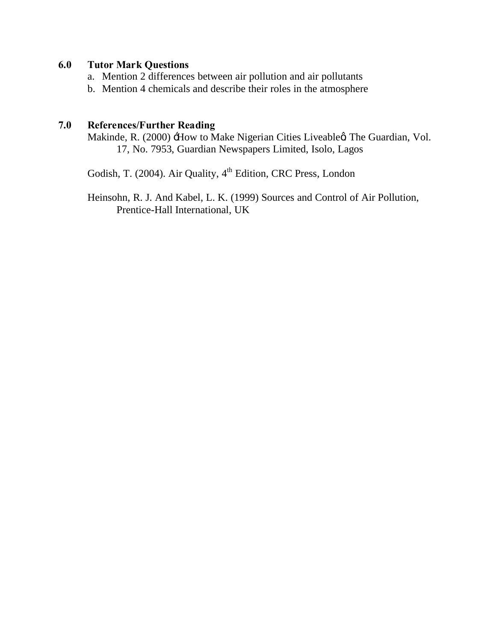# **6.0 Tutor Mark Questions**

- a. Mention 2 differences between air pollution and air pollutants
- b. Mention 4 chemicals and describe their roles in the atmosphere

# **7.0 References/Further Reading**

Makinde, R. (2000)  $\pm$ How to Make Nigerian Cities Liveableg The Guardian, Vol. 17, No. 7953, Guardian Newspapers Limited, Isolo, Lagos

Godish, T. (2004). Air Quality, 4<sup>th</sup> Edition, CRC Press, London

Heinsohn, R. J. And Kabel, L. K. (1999) Sources and Control of Air Pollution, Prentice-Hall International, UK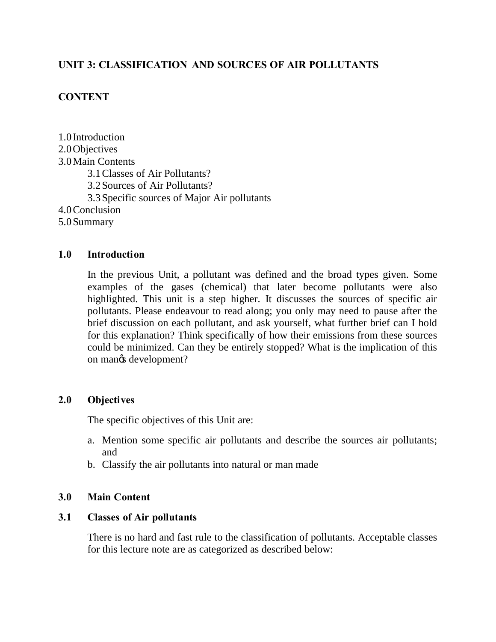# **UNIT 3: CLASSIFICATION AND SOURCES OF AIR POLLUTANTS**

# **CONTENT**

1.0 Introduction 2.0Objectives 3.0Main Contents 3.1Classes of Air Pollutants? 3.2Sources of Air Pollutants? 3.3Specific sources of Major Air pollutants 4.0Conclusion 5.0Summary

### **1.0 Introduction**

In the previous Unit, a pollutant was defined and the broad types given. Some examples of the gases (chemical) that later become pollutants were also highlighted. This unit is a step higher. It discusses the sources of specific air pollutants. Please endeavour to read along; you only may need to pause after the brief discussion on each pollutant, and ask yourself, what further brief can I hold for this explanation? Think specifically of how their emissions from these sources could be minimized. Can they be entirely stopped? What is the implication of this on mangs development?

### **2.0 Objectives**

The specific objectives of this Unit are:

- a. Mention some specific air pollutants and describe the sources air pollutants; and
- b. Classify the air pollutants into natural or man made

### **3.0 Main Content**

#### **3.1 Classes of Air pollutants**

 There is no hard and fast rule to the classification of pollutants. Acceptable classes for this lecture note are as categorized as described below: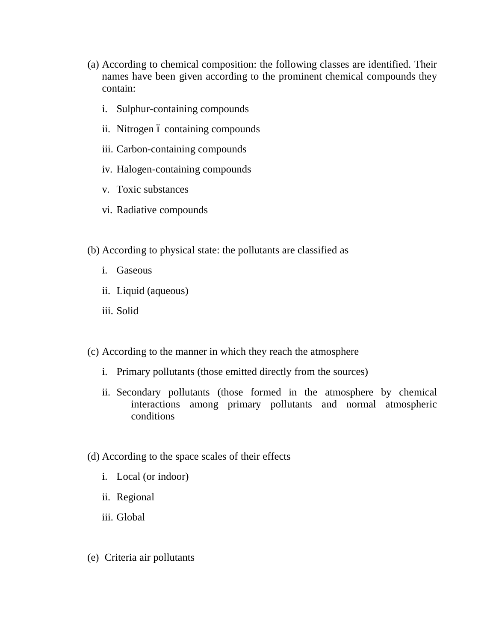- (a) According to chemical composition: the following classes are identified. Their names have been given according to the prominent chemical compounds they contain:
	- i. Sulphur-containing compounds
	- ii. Nitrogen ó containing compounds
	- iii. Carbon-containing compounds
	- iv. Halogen-containing compounds
	- v. Toxic substances
	- vi. Radiative compounds
- (b) According to physical state: the pollutants are classified as
	- i. Gaseous
	- ii. Liquid (aqueous)
	- iii. Solid
- (c) According to the manner in which they reach the atmosphere
	- i. Primary pollutants (those emitted directly from the sources)
	- ii. Secondary pollutants (those formed in the atmosphere by chemical interactions among primary pollutants and normal atmospheric conditions
- (d) According to the space scales of their effects
	- i. Local (or indoor)
	- ii. Regional
	- iii. Global
- (e) Criteria air pollutants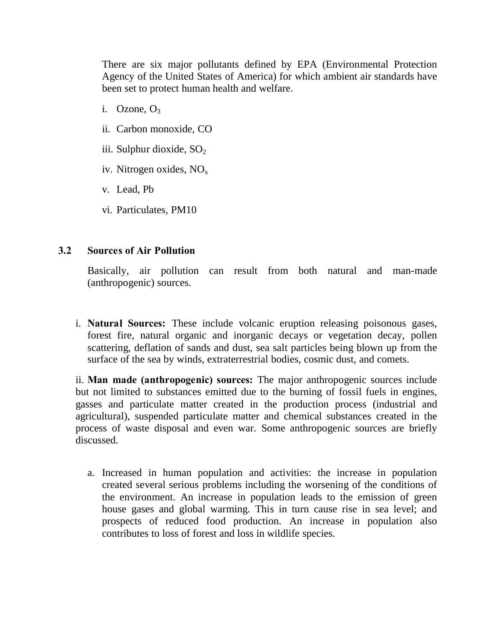There are six major pollutants defined by EPA (Environmental Protection Agency of the United States of America) for which ambient air standards have been set to protect human health and welfare.

- i. Ozone,  $O_3$
- ii. Carbon monoxide, CO
- iii. Sulphur dioxide,  $SO<sub>2</sub>$
- iv. Nitrogen oxides, NOx
- v. Lead, Pb
- vi. Particulates, PM10

### **3.2 Sources of Air Pollution**

 Basically, air pollution can result from both natural and man-made (anthropogenic) sources.

i. **Natural Sources:** These include volcanic eruption releasing poisonous gases, forest fire, natural organic and inorganic decays or vegetation decay, pollen scattering, deflation of sands and dust, sea salt particles being blown up from the surface of the sea by winds, extraterrestrial bodies, cosmic dust, and comets.

ii. **Man made (anthropogenic) sources:** The major anthropogenic sources include but not limited to substances emitted due to the burning of fossil fuels in engines, gasses and particulate matter created in the production process (industrial and agricultural), suspended particulate matter and chemical substances created in the process of waste disposal and even war. Some anthropogenic sources are briefly discussed.

a. Increased in human population and activities: the increase in population created several serious problems including the worsening of the conditions of the environment. An increase in population leads to the emission of green house gases and global warming. This in turn cause rise in sea level; and prospects of reduced food production. An increase in population also contributes to loss of forest and loss in wildlife species.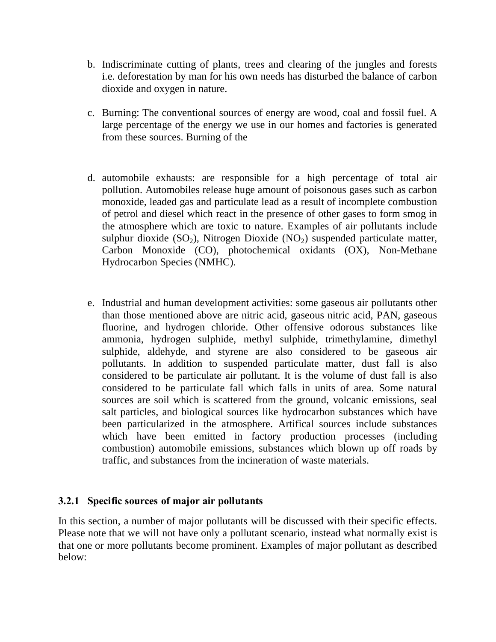- b. Indiscriminate cutting of plants, trees and clearing of the jungles and forests i.e. deforestation by man for his own needs has disturbed the balance of carbon dioxide and oxygen in nature.
- c. Burning: The conventional sources of energy are wood, coal and fossil fuel. A large percentage of the energy we use in our homes and factories is generated from these sources. Burning of the
- d. automobile exhausts: are responsible for a high percentage of total air pollution. Automobiles release huge amount of poisonous gases such as carbon monoxide, leaded gas and particulate lead as a result of incomplete combustion of petrol and diesel which react in the presence of other gases to form smog in the atmosphere which are toxic to nature. Examples of air pollutants include sulphur dioxide  $(SO_2)$ , Nitrogen Dioxide  $(NO_2)$  suspended particulate matter, Carbon Monoxide (CO), photochemical oxidants (OX), Non-Methane Hydrocarbon Species (NMHC).
- e. Industrial and human development activities: some gaseous air pollutants other than those mentioned above are nitric acid, gaseous nitric acid, PAN, gaseous fluorine, and hydrogen chloride. Other offensive odorous substances like ammonia, hydrogen sulphide, methyl sulphide, trimethylamine, dimethyl sulphide, aldehyde, and styrene are also considered to be gaseous air pollutants. In addition to suspended particulate matter, dust fall is also considered to be particulate air pollutant. It is the volume of dust fall is also considered to be particulate fall which falls in units of area. Some natural sources are soil which is scattered from the ground, volcanic emissions, seal salt particles, and biological sources like hydrocarbon substances which have been particularized in the atmosphere. Artifical sources include substances which have been emitted in factory production processes (including combustion) automobile emissions, substances which blown up off roads by traffic, and substances from the incineration of waste materials.

# **3.2.1 Specific sources of major air pollutants**

In this section, a number of major pollutants will be discussed with their specific effects. Please note that we will not have only a pollutant scenario, instead what normally exist is that one or more pollutants become prominent. Examples of major pollutant as described below: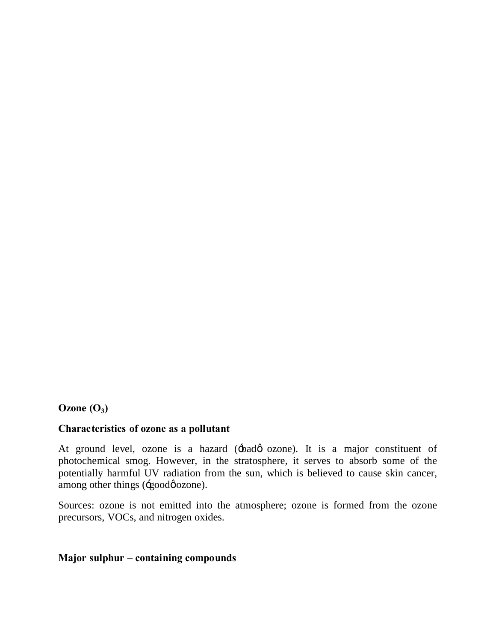# $Ozone(O<sub>3</sub>)$

# **Characteristics of ozone as a pollutant**

At ground level, ozone is a hazard ( $\pm$ badø ozone). It is a major constituent of photochemical smog. However, in the stratosphere, it serves to absorb some of the potentially harmful UV radiation from the sun, which is believed to cause skin cancer, among other things (-goodøozone).

Sources: ozone is not emitted into the atmosphere; ozone is formed from the ozone precursors, VOCs, and nitrogen oxides.

### **Major sulphur – containing compounds**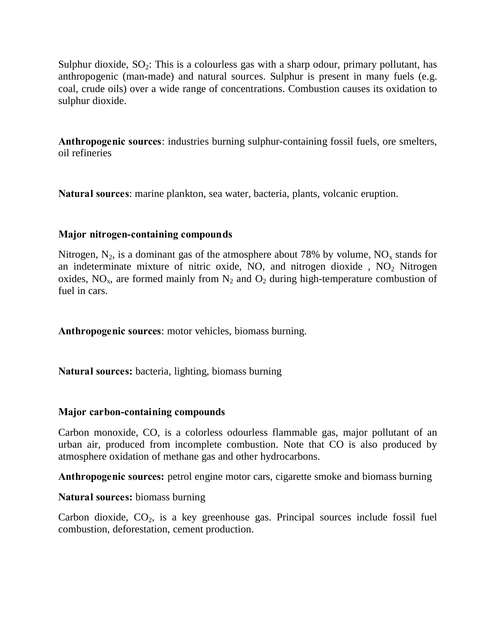Sulphur dioxide,  $SO_2$ : This is a colourless gas with a sharp odour, primary pollutant, has anthropogenic (man-made) and natural sources. Sulphur is present in many fuels (e.g. coal, crude oils) over a wide range of concentrations. Combustion causes its oxidation to sulphur dioxide.

**Anthropogenic sources**: industries burning sulphur-containing fossil fuels, ore smelters, oil refineries

**Natural sources**: marine plankton, sea water, bacteria, plants, volcanic eruption.

# **Major nitrogen-containing compounds**

Nitrogen,  $N_2$ , is a dominant gas of the atmosphere about 78% by volume,  $NO_x$  stands for an indeterminate mixture of nitric oxide, NO, and nitrogen dioxide,  $NO<sub>2</sub>$  Nitrogen oxides,  $NO<sub>x</sub>$ , are formed mainly from  $N<sub>2</sub>$  and  $O<sub>2</sub>$  during high-temperature combustion of fuel in cars.

**Anthropogenic sources**: motor vehicles, biomass burning.

**Natural sources:** bacteria, lighting, biomass burning

# **Major carbon-containing compounds**

Carbon monoxide, CO, is a colorless odourless flammable gas, major pollutant of an urban air, produced from incomplete combustion. Note that CO is also produced by atmosphere oxidation of methane gas and other hydrocarbons.

**Anthropogenic sources:** petrol engine motor cars, cigarette smoke and biomass burning

**Natural sources:** biomass burning

Carbon dioxide,  $CO<sub>2</sub>$ , is a key greenhouse gas. Principal sources include fossil fuel combustion, deforestation, cement production.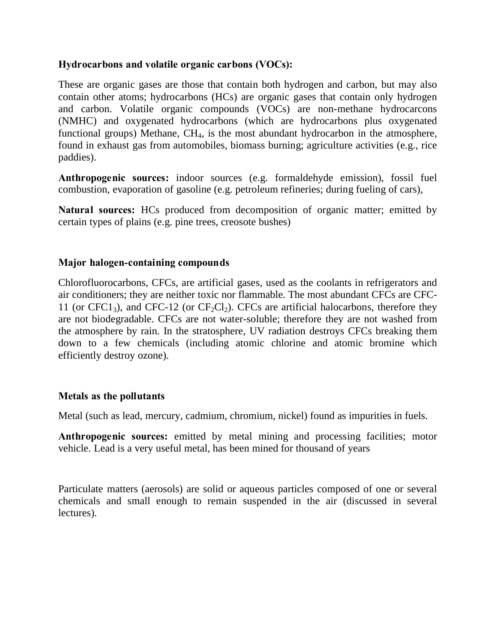### **Hydrocarbons and volatile organic carbons (VOCs):**

These are organic gases are those that contain both hydrogen and carbon, but may also contain other atoms; hydrocarbons (HCs) are organic gases that contain only hydrogen and carbon. Volatile organic compounds (VOCs) are non-methane hydrocarcons (NMHC) and oxygenated hydrocarbons (which are hydrocarbons plus oxygenated functional groups) Methane,  $CH<sub>4</sub>$ , is the most abundant hydrocarbon in the atmosphere, found in exhaust gas from automobiles, biomass burning; agriculture activities (e.g., rice paddies).

**Anthropogenic sources:** indoor sources (e.g. formaldehyde emission), fossil fuel combustion, evaporation of gasoline (e.g. petroleum refineries; during fueling of cars),

**Natural sources:** HCs produced from decomposition of organic matter; emitted by certain types of plains (e.g. pine trees, creosote bushes)

### **Major halogen-containing compounds**

Chlorofluorocarbons, CFCs, are artificial gases, used as the coolants in refrigerators and air conditioners; they are neither toxic nor flammable. The most abundant CFCs are CFC-11 (or  $CFC1_3$ ), and  $CFC-12$  (or  $CF_2Cl_2$ ). CFCs are artificial halocarbons, therefore they are not biodegradable. CFCs are not water-soluble; therefore they are not washed from the atmosphere by rain. In the stratosphere, UV radiation destroys CFCs breaking them down to a few chemicals (including atomic chlorine and atomic bromine which efficiently destroy ozone).

### **Metals as the pollutants**

Metal (such as lead, mercury, cadmium, chromium, nickel) found as impurities in fuels.

**Anthropogenic sources:** emitted by metal mining and processing facilities; motor vehicle. Lead is a very useful metal, has been mined for thousand of years

Particulate matters (aerosols) are solid or aqueous particles composed of one or several chemicals and small enough to remain suspended in the air (discussed in several lectures).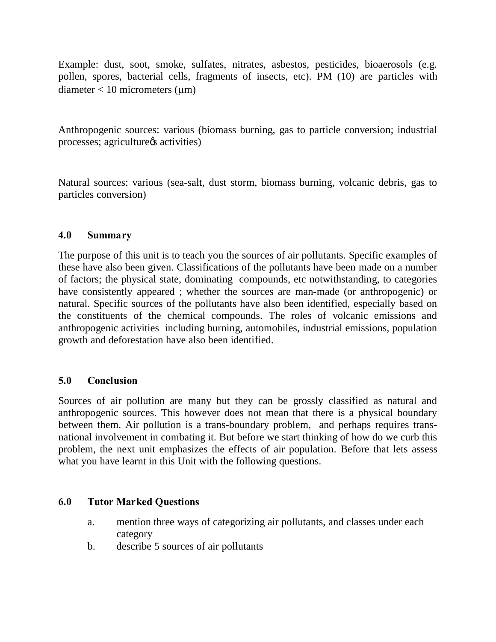Example: dust, soot, smoke, sulfates, nitrates, asbestos, pesticides, bioaerosols (e.g. pollen, spores, bacterial cells, fragments of insects, etc). PM (10) are particles with  $diameter < 10$  micrometers (um)

Anthropogenic sources: various (biomass burning, gas to particle conversion; industrial processes; agriculture  $\alpha$  activities)

Natural sources: various (sea-salt, dust storm, biomass burning, volcanic debris, gas to particles conversion)

### **4.0 Summary**

The purpose of this unit is to teach you the sources of air pollutants. Specific examples of these have also been given. Classifications of the pollutants have been made on a number of factors; the physical state, dominating compounds, etc notwithstanding, to categories have consistently appeared ; whether the sources are man-made (or anthropogenic) or natural. Specific sources of the pollutants have also been identified, especially based on the constituents of the chemical compounds. The roles of volcanic emissions and anthropogenic activities including burning, automobiles, industrial emissions, population growth and deforestation have also been identified.

# **5.0 Conclusion**

Sources of air pollution are many but they can be grossly classified as natural and anthropogenic sources. This however does not mean that there is a physical boundary between them. Air pollution is a trans-boundary problem, and perhaps requires transnational involvement in combating it. But before we start thinking of how do we curb this problem, the next unit emphasizes the effects of air population. Before that lets assess what you have learnt in this Unit with the following questions.

# **6.0 Tutor Marked Questions**

- a. mention three ways of categorizing air pollutants, and classes under each category
- b. describe 5 sources of air pollutants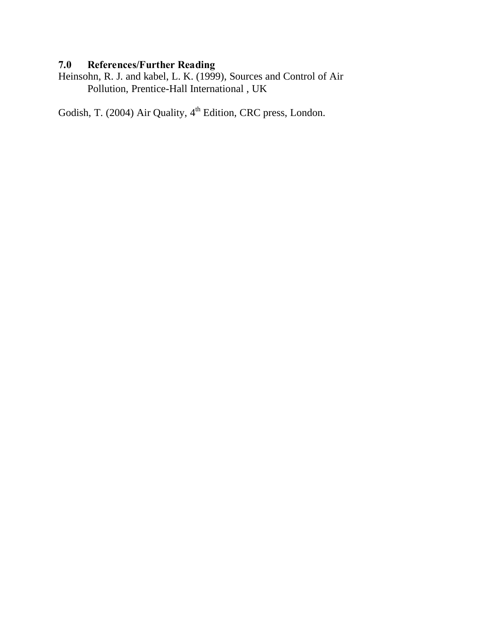# **7.0 References/Further Reading**

Heinsohn, R. J. and kabel, L. K. (1999), Sources and Control of Air Pollution, Prentice-Hall International , UK

Godish, T. (2004) Air Quality, 4<sup>th</sup> Edition, CRC press, London.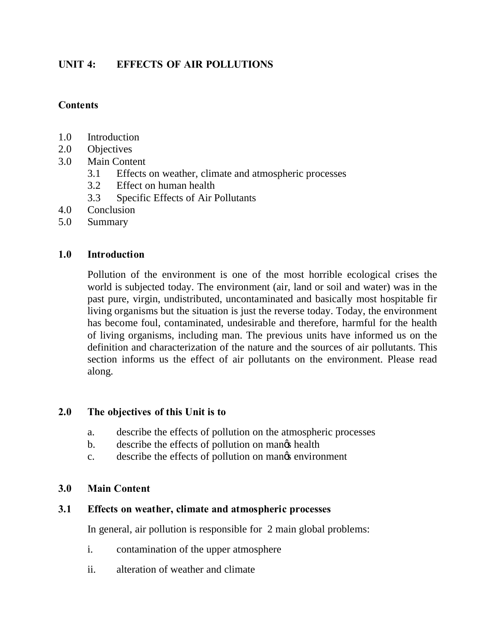# **UNIT 4: EFFECTS OF AIR POLLUTIONS**

### **Contents**

- 1.0 Introduction
- 2.0 Objectives
- 3.0 Main Content
	- 3.1 Effects on weather, climate and atmospheric processes
	- 3.2 Effect on human health
	- 3.3 Specific Effects of Air Pollutants
- 4.0 Conclusion
- 5.0 Summary

### **1.0 Introduction**

Pollution of the environment is one of the most horrible ecological crises the world is subjected today. The environment (air, land or soil and water) was in the past pure, virgin, undistributed, uncontaminated and basically most hospitable fir living organisms but the situation is just the reverse today. Today, the environment has become foul, contaminated, undesirable and therefore, harmful for the health of living organisms, including man. The previous units have informed us on the definition and characterization of the nature and the sources of air pollutants. This section informs us the effect of air pollutants on the environment. Please read along.

### **2.0 The objectives of this Unit is to**

- a. describe the effects of pollution on the atmospheric processes
- b. describe the effects of pollution on manges health
- c. describe the effects of pollution on manges environment

### **3.0 Main Content**

### **3.1 Effects on weather, climate and atmospheric processes**

In general, air pollution is responsible for 2 main global problems:

- i. contamination of the upper atmosphere
- ii. alteration of weather and climate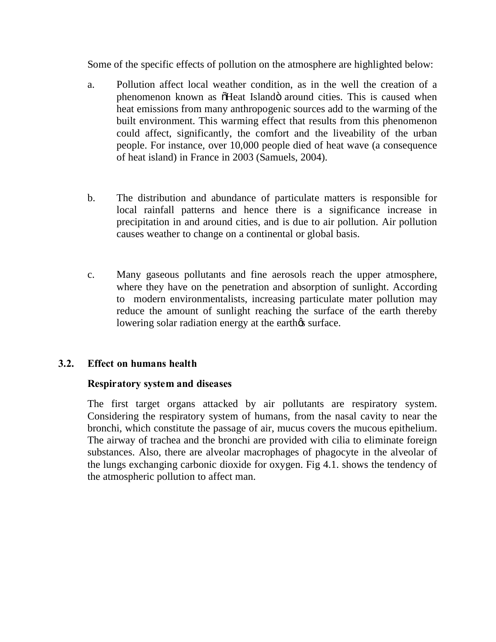Some of the specific effects of pollution on the atmosphere are highlighted below:

- a. Pollution affect local weather condition, as in the well the creation of a phenomenon known as  $\tilde{\text{o}}$ Heat Island $\tilde{\text{o}}$  around cities. This is caused when heat emissions from many anthropogenic sources add to the warming of the built environment. This warming effect that results from this phenomenon could affect, significantly, the comfort and the liveability of the urban people. For instance, over 10,000 people died of heat wave (a consequence of heat island) in France in 2003 (Samuels, 2004).
- b. The distribution and abundance of particulate matters is responsible for local rainfall patterns and hence there is a significance increase in precipitation in and around cities, and is due to air pollution. Air pollution causes weather to change on a continental or global basis.
- c. Many gaseous pollutants and fine aerosols reach the upper atmosphere, where they have on the penetration and absorption of sunlight. According to modern environmentalists, increasing particulate mater pollution may reduce the amount of sunlight reaching the surface of the earth thereby lowering solar radiation energy at the earth $\alpha$  surface.

# **3.2. Effect on humans health**

### **Respiratory system and diseases**

The first target organs attacked by air pollutants are respiratory system. Considering the respiratory system of humans, from the nasal cavity to near the bronchi, which constitute the passage of air, mucus covers the mucous epithelium. The airway of trachea and the bronchi are provided with cilia to eliminate foreign substances. Also, there are alveolar macrophages of phagocyte in the alveolar of the lungs exchanging carbonic dioxide for oxygen. Fig 4.1. shows the tendency of the atmospheric pollution to affect man.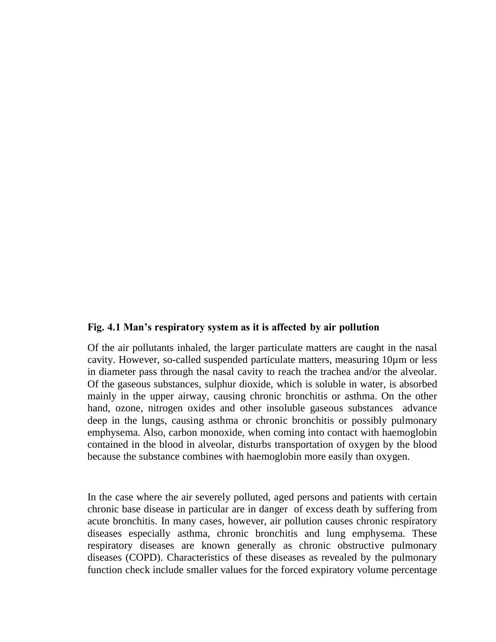#### **Fig. 4.1 Man's respiratory system as it is affected by air pollution**

Of the air pollutants inhaled, the larger particulate matters are caught in the nasal cavity. However, so-called suspended particulate matters, measuring 10µm or less in diameter pass through the nasal cavity to reach the trachea and/or the alveolar. Of the gaseous substances, sulphur dioxide, which is soluble in water, is absorbed mainly in the upper airway, causing chronic bronchitis or asthma. On the other hand, ozone, nitrogen oxides and other insoluble gaseous substances advance deep in the lungs, causing asthma or chronic bronchitis or possibly pulmonary emphysema. Also, carbon monoxide, when coming into contact with haemoglobin contained in the blood in alveolar, disturbs transportation of oxygen by the blood because the substance combines with haemoglobin more easily than oxygen.

In the case where the air severely polluted, aged persons and patients with certain chronic base disease in particular are in danger of excess death by suffering from acute bronchitis. In many cases, however, air pollution causes chronic respiratory diseases especially asthma, chronic bronchitis and lung emphysema. These respiratory diseases are known generally as chronic obstructive pulmonary diseases (COPD). Characteristics of these diseases as revealed by the pulmonary function check include smaller values for the forced expiratory volume percentage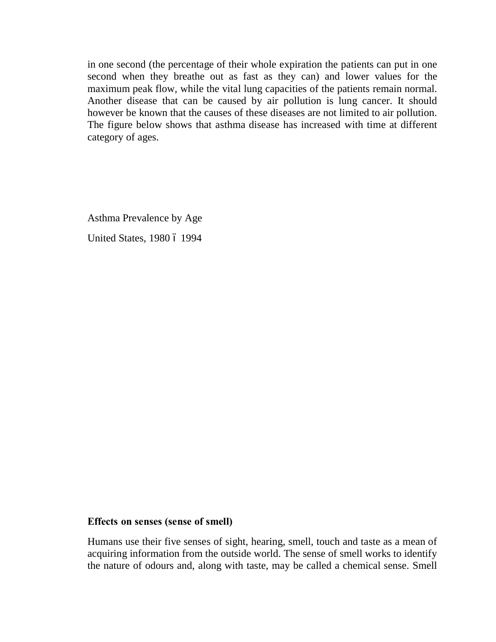in one second (the percentage of their whole expiration the patients can put in one second when they breathe out as fast as they can) and lower values for the maximum peak flow, while the vital lung capacities of the patients remain normal. Another disease that can be caused by air pollution is lung cancer. It should however be known that the causes of these diseases are not limited to air pollution. The figure below shows that asthma disease has increased with time at different category of ages.

Asthma Prevalence by Age United States, 1980 6 1994

### **Effects on senses (sense of smell)**

Humans use their five senses of sight, hearing, smell, touch and taste as a mean of acquiring information from the outside world. The sense of smell works to identify the nature of odours and, along with taste, may be called a chemical sense. Smell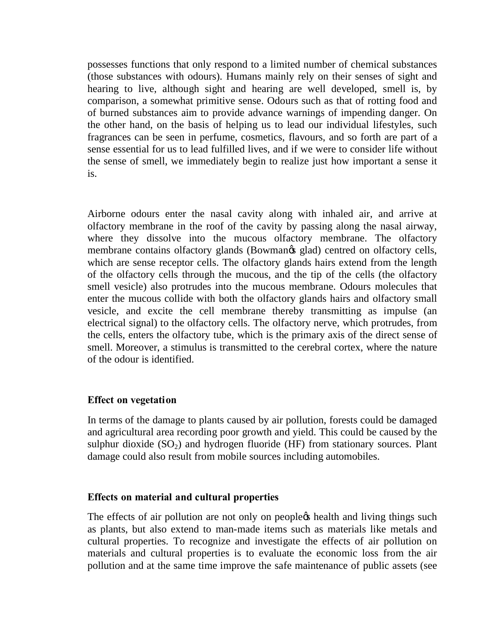possesses functions that only respond to a limited number of chemical substances (those substances with odours). Humans mainly rely on their senses of sight and hearing to live, although sight and hearing are well developed, smell is, by comparison, a somewhat primitive sense. Odours such as that of rotting food and of burned substances aim to provide advance warnings of impending danger. On the other hand, on the basis of helping us to lead our individual lifestyles, such fragrances can be seen in perfume, cosmetics, flavours, and so forth are part of a sense essential for us to lead fulfilled lives, and if we were to consider life without the sense of smell, we immediately begin to realize just how important a sense it is.

Airborne odours enter the nasal cavity along with inhaled air, and arrive at olfactory membrane in the roof of the cavity by passing along the nasal airway, where they dissolve into the mucous olfactory membrane. The olfactory membrane contains olfactory glands (Bowmanos glad) centred on olfactory cells, which are sense receptor cells. The olfactory glands hairs extend from the length of the olfactory cells through the mucous, and the tip of the cells (the olfactory smell vesicle) also protrudes into the mucous membrane. Odours molecules that enter the mucous collide with both the olfactory glands hairs and olfactory small vesicle, and excite the cell membrane thereby transmitting as impulse (an electrical signal) to the olfactory cells. The olfactory nerve, which protrudes, from the cells, enters the olfactory tube, which is the primary axis of the direct sense of smell. Moreover, a stimulus is transmitted to the cerebral cortex, where the nature of the odour is identified.

### **Effect on vegetation**

In terms of the damage to plants caused by air pollution, forests could be damaged and agricultural area recording poor growth and yield. This could be caused by the sulphur dioxide  $(SO<sub>2</sub>)$  and hydrogen fluoride (HF) from stationary sources. Plant damage could also result from mobile sources including automobiles.

### **Effects on material and cultural properties**

The effects of air pollution are not only on people the health and living things such as plants, but also extend to man-made items such as materials like metals and cultural properties. To recognize and investigate the effects of air pollution on materials and cultural properties is to evaluate the economic loss from the air pollution and at the same time improve the safe maintenance of public assets (see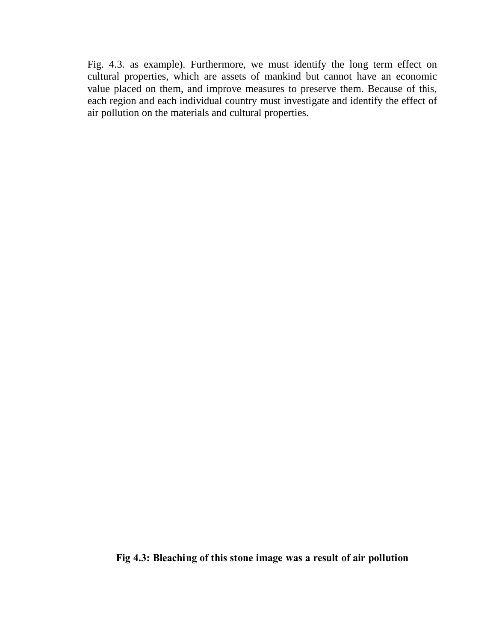Fig. 4.3. as example). Furthermore, we must identify the long term effect on cultural properties, which are assets of mankind but cannot have an economic value placed on them, and improve measures to preserve them. Because of this, each region and each individual country must investigate and identify the effect of air pollution on the materials and cultural properties.

**Fig 4.3: Bleaching of this stone image was a result of air pollution**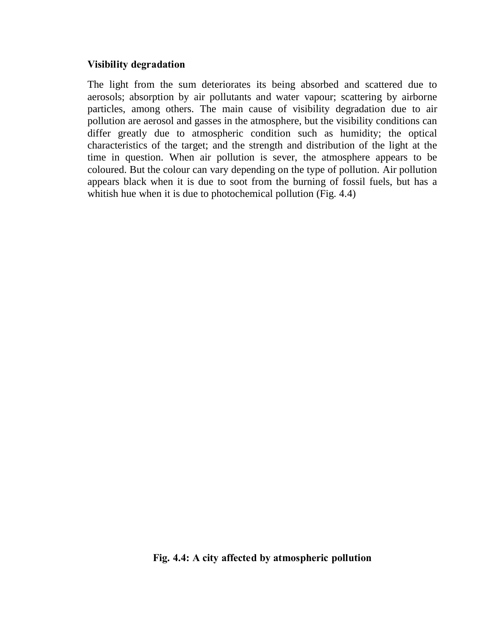### **Visibility degradation**

The light from the sum deteriorates its being absorbed and scattered due to aerosols; absorption by air pollutants and water vapour; scattering by airborne particles, among others. The main cause of visibility degradation due to air pollution are aerosol and gasses in the atmosphere, but the visibility conditions can differ greatly due to atmospheric condition such as humidity; the optical characteristics of the target; and the strength and distribution of the light at the time in question. When air pollution is sever, the atmosphere appears to be coloured. But the colour can vary depending on the type of pollution. Air pollution appears black when it is due to soot from the burning of fossil fuels, but has a whitish hue when it is due to photochemical pollution (Fig. 4.4)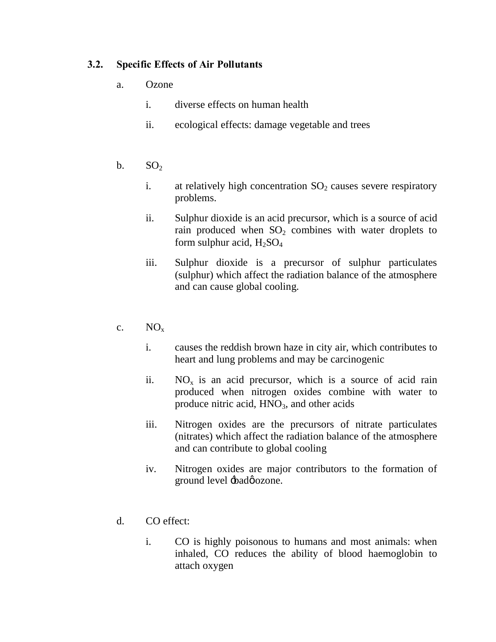# **3.2. Specific Effects of Air Pollutants**

- a. Ozone
	- i. diverse effects on human health
	- ii. ecological effects: damage vegetable and trees
- b.  $SO<sub>2</sub>$ 
	- i. at relatively high concentration  $SO<sub>2</sub>$  causes severe respiratory problems.
	- ii. Sulphur dioxide is an acid precursor, which is a source of acid rain produced when  $SO<sub>2</sub>$  combines with water droplets to form sulphur acid,  $H_2SO_4$
	- iii. Sulphur dioxide is a precursor of sulphur particulates (sulphur) which affect the radiation balance of the atmosphere and can cause global cooling.
- c.  $NO_x$ 
	- i. causes the reddish brown haze in city air, which contributes to heart and lung problems and may be carcinogenic
	- ii.  $NO<sub>x</sub>$  is an acid precursor, which is a source of acid rain produced when nitrogen oxides combine with water to produce nitric acid,  $HNO<sub>3</sub>$ , and other acids
	- iii. Nitrogen oxides are the precursors of nitrate particulates (nitrates) which affect the radiation balance of the atmosphere and can contribute to global cooling
	- iv. Nitrogen oxides are major contributors to the formation of ground level  $\pm$ badø ozone.
- d. CO effect:
	- i. CO is highly poisonous to humans and most animals: when inhaled, CO reduces the ability of blood haemoglobin to attach oxygen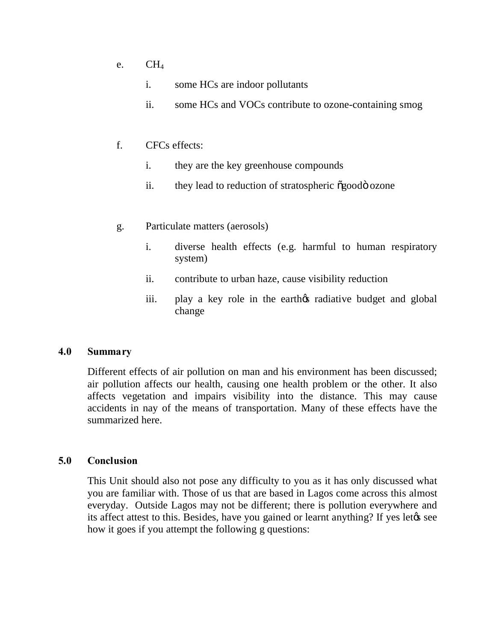- e.  $CH<sub>4</sub>$ 
	- i. some HCs are indoor pollutants
	- ii. some HCs and VOCs contribute to ozone-containing smog
- f. CFCs effects:
	- i. they are the key greenhouse compounds
	- ii. they lead to reduction of stratospheric  $\tilde{\alpha}$ good ozone
- g. Particulate matters (aerosols)
	- i. diverse health effects (e.g. harmful to human respiratory system)
	- ii. contribute to urban haze, cause visibility reduction
	- iii. play a key role in the earthos radiative budget and global change

### **4.0 Summary**

Different effects of air pollution on man and his environment has been discussed; air pollution affects our health, causing one health problem or the other. It also affects vegetation and impairs visibility into the distance. This may cause accidents in nay of the means of transportation. Many of these effects have the summarized here.

### **5.0 Conclusion**

This Unit should also not pose any difficulty to you as it has only discussed what you are familiar with. Those of us that are based in Lagos come across this almost everyday. Outside Lagos may not be different; there is pollution everywhere and its affect attest to this. Besides, have you gained or learnt anything? If yes let  $\alpha$  see how it goes if you attempt the following g questions: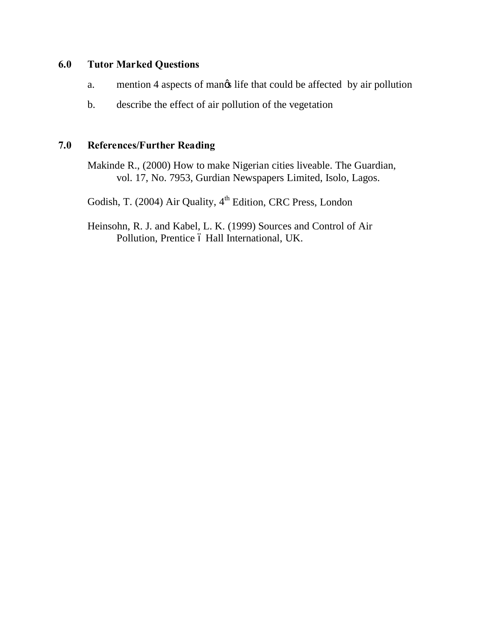# **6.0 Tutor Marked Questions**

- a. mention 4 aspects of mangs life that could be affected by air pollution
- b. describe the effect of air pollution of the vegetation

# **7.0 References/Further Reading**

Makinde R., (2000) How to make Nigerian cities liveable. The Guardian, vol. 17, No. 7953, Gurdian Newspapers Limited, Isolo, Lagos.

Godish, T. (2004) Air Quality, 4<sup>th</sup> Edition, CRC Press, London

Heinsohn, R. J. and Kabel, L. K. (1999) Sources and Control of Air Pollution, Prentice ó Hall International, UK.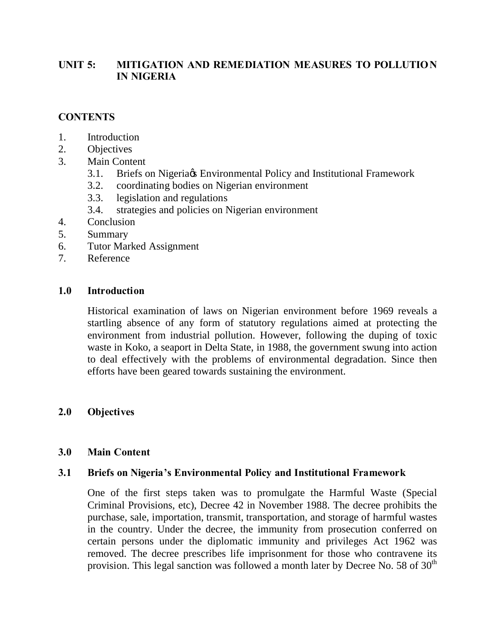# UNIT 5: MITIGATION AND REMEDIATION MEASURES TO POLLUTION **IN NIGERIA**

# **CONTENTS**

- 1. Introduction
- 2. Objectives
- 3. Main Content
	- 3.1. Briefs on Nigeria & Environmental Policy and Institutional Framework
	- 3.2. coordinating bodies on Nigerian environment
	- 3.3. legislation and regulations
	- 3.4. strategies and policies on Nigerian environment
- 4. Conclusion
- 5. Summary
- 6. Tutor Marked Assignment
- 7. Reference

# **1.0 Introduction**

Historical examination of laws on Nigerian environment before 1969 reveals a startling absence of any form of statutory regulations aimed at protecting the environment from industrial pollution. However, following the duping of toxic waste in Koko, a seaport in Delta State, in 1988, the government swung into action to deal effectively with the problems of environmental degradation. Since then efforts have been geared towards sustaining the environment.

# **2.0 Objectives**

# **3.0 Main Content**

# **3.1 Briefs on Nigeria's Environmental Policy and Institutional Framework**

One of the first steps taken was to promulgate the Harmful Waste (Special Criminal Provisions, etc), Decree 42 in November 1988. The decree prohibits the purchase, sale, importation, transmit, transportation, and storage of harmful wastes in the country. Under the decree, the immunity from prosecution conferred on certain persons under the diplomatic immunity and privileges Act 1962 was removed. The decree prescribes life imprisonment for those who contravene its provision. This legal sanction was followed a month later by Decree No. 58 of  $30<sup>th</sup>$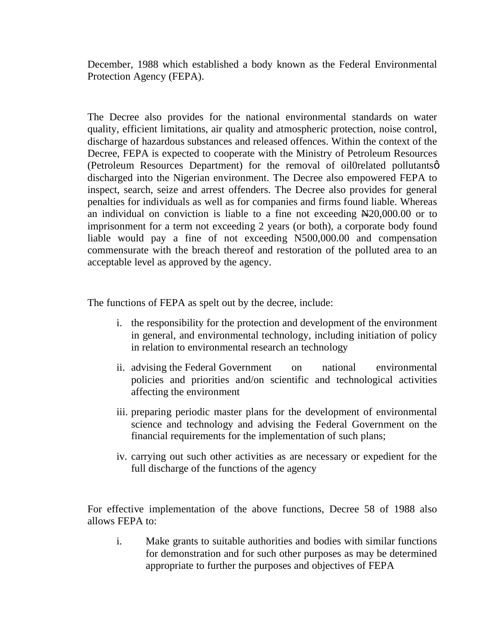December, 1988 which established a body known as the Federal Environmental Protection Agency (FEPA).

The Decree also provides for the national environmental standards on water quality, efficient limitations, air quality and atmospheric protection, noise control, discharge of hazardous substances and released offences. Within the context of the Decree, FEPA is expected to cooperate with the Ministry of Petroleum Resources (Petroleum Resources Department) for the removal of oil Orelated pollutants  $\varphi$ discharged into the Nigerian environment. The Decree also empowered FEPA to inspect, search, seize and arrest offenders. The Decree also provides for general penalties for individuals as well as for companies and firms found liable. Whereas an individual on conviction is liable to a fine not exceeding  $\text{N20,000.00}$  or to imprisonment for a term not exceeding 2 years (or both), a corporate body found liable would pay a fine of not exceeding N500,000.00 and compensation commensurate with the breach thereof and restoration of the polluted area to an acceptable level as approved by the agency.

The functions of FEPA as spelt out by the decree, include:

- i. the responsibility for the protection and development of the environment in general, and environmental technology, including initiation of policy in relation to environmental research an technology
- ii. advising the Federal Government on national environmental policies and priorities and/on scientific and technological activities affecting the environment
- iii. preparing periodic master plans for the development of environmental science and technology and advising the Federal Government on the financial requirements for the implementation of such plans;
- iv. carrying out such other activities as are necessary or expedient for the full discharge of the functions of the agency

For effective implementation of the above functions, Decree 58 of 1988 also allows FEPA to:

i. Make grants to suitable authorities and bodies with similar functions for demonstration and for such other purposes as may be determined appropriate to further the purposes and objectives of FEPA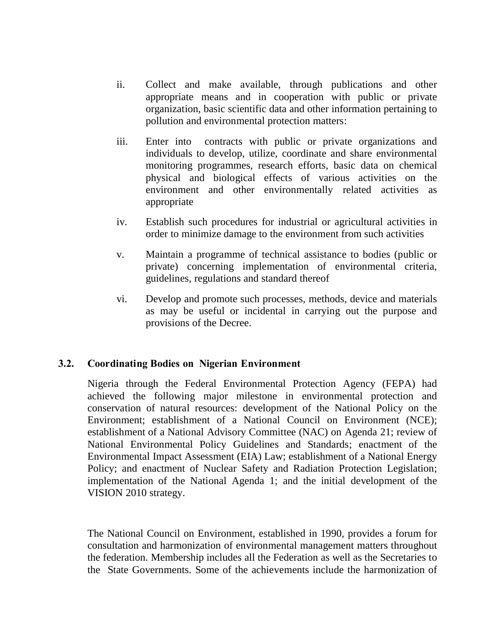- ii. Collect and make available, through publications and other appropriate means and in cooperation with public or private organization, basic scientific data and other information pertaining to pollution and environmental protection matters:
- iii. Enter into contracts with public or private organizations and individuals to develop, utilize, coordinate and share environmental monitoring programmes, research efforts, basic data on chemical physical and biological effects of various activities on the environment and other environmentally related activities as appropriate
- iv. Establish such procedures for industrial or agricultural activities in order to minimize damage to the environment from such activities
- v. Maintain a programme of technical assistance to bodies (public or private) concerning implementation of environmental criteria, guidelines, regulations and standard thereof
- vi. Develop and promote such processes, methods, device and materials as may be useful or incidental in carrying out the purpose and provisions of the Decree.

### **3.2. Coordinating Bodies on Nigerian Environment**

Nigeria through the Federal Environmental Protection Agency (FEPA) had achieved the following major milestone in environmental protection and conservation of natural resources: development of the National Policy on the Environment; establishment of a National Council on Environment (NCE); establishment of a National Advisory Committee (NAC) on Agenda 21; review of National Environmental Policy Guidelines and Standards; enactment of the Environmental Impact Assessment (EIA) Law; establishment of a National Energy Policy; and enactment of Nuclear Safety and Radiation Protection Legislation; implementation of the National Agenda 1; and the initial development of the VISION 2010 strategy.

The National Council on Environment, established in 1990, provides a forum for consultation and harmonization of environmental management matters throughout the federation. Membership includes all the Federation as well as the Secretaries to the State Governments. Some of the achievements include the harmonization of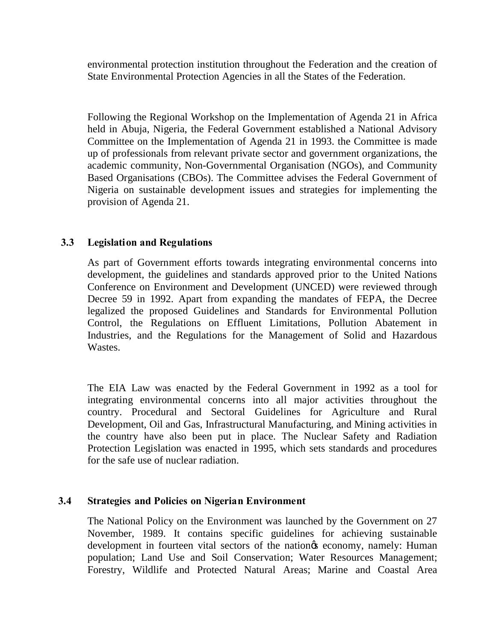environmental protection institution throughout the Federation and the creation of State Environmental Protection Agencies in all the States of the Federation.

Following the Regional Workshop on the Implementation of Agenda 21 in Africa held in Abuja, Nigeria, the Federal Government established a National Advisory Committee on the Implementation of Agenda 21 in 1993. the Committee is made up of professionals from relevant private sector and government organizations, the academic community, Non-Governmental Organisation (NGOs), and Community Based Organisations (CBOs). The Committee advises the Federal Government of Nigeria on sustainable development issues and strategies for implementing the provision of Agenda 21.

# **3.3 Legislation and Regulations**

As part of Government efforts towards integrating environmental concerns into development, the guidelines and standards approved prior to the United Nations Conference on Environment and Development (UNCED) were reviewed through Decree 59 in 1992. Apart from expanding the mandates of FEPA, the Decree legalized the proposed Guidelines and Standards for Environmental Pollution Control, the Regulations on Effluent Limitations, Pollution Abatement in Industries, and the Regulations for the Management of Solid and Hazardous Wastes.

The EIA Law was enacted by the Federal Government in 1992 as a tool for integrating environmental concerns into all major activities throughout the country. Procedural and Sectoral Guidelines for Agriculture and Rural Development, Oil and Gas, Infrastructural Manufacturing, and Mining activities in the country have also been put in place. The Nuclear Safety and Radiation Protection Legislation was enacted in 1995, which sets standards and procedures for the safe use of nuclear radiation.

# **3.4 Strategies and Policies on Nigerian Environment**

The National Policy on the Environment was launched by the Government on 27 November, 1989. It contains specific guidelines for achieving sustainable development in fourteen vital sectors of the nation & economy, namely: Human population; Land Use and Soil Conservation; Water Resources Management; Forestry, Wildlife and Protected Natural Areas; Marine and Coastal Area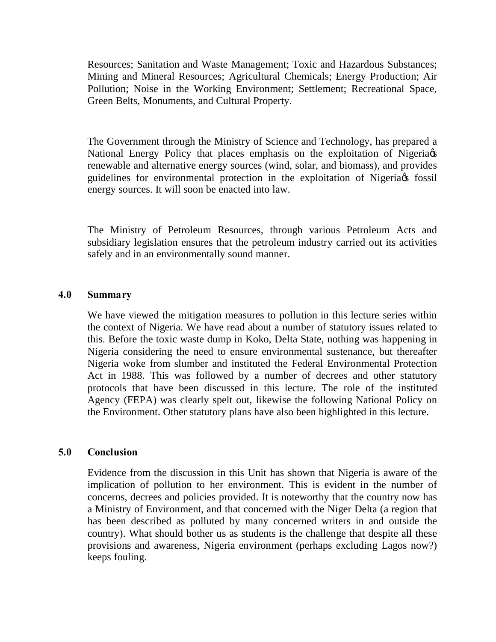Resources; Sanitation and Waste Management; Toxic and Hazardous Substances; Mining and Mineral Resources; Agricultural Chemicals; Energy Production; Air Pollution; Noise in the Working Environment; Settlement; Recreational Space, Green Belts, Monuments, and Cultural Property.

The Government through the Ministry of Science and Technology, has prepared a National Energy Policy that places emphasis on the exploitation of Nigeria  $\alpha$ renewable and alternative energy sources (wind, solar, and biomass), and provides guidelines for environmental protection in the exploitation of Nigeria of fossil energy sources. It will soon be enacted into law.

The Ministry of Petroleum Resources, through various Petroleum Acts and subsidiary legislation ensures that the petroleum industry carried out its activities safely and in an environmentally sound manner.

### **4.0 Summary**

We have viewed the mitigation measures to pollution in this lecture series within the context of Nigeria. We have read about a number of statutory issues related to this. Before the toxic waste dump in Koko, Delta State, nothing was happening in Nigeria considering the need to ensure environmental sustenance, but thereafter Nigeria woke from slumber and instituted the Federal Environmental Protection Act in 1988. This was followed by a number of decrees and other statutory protocols that have been discussed in this lecture. The role of the instituted Agency (FEPA) was clearly spelt out, likewise the following National Policy on the Environment. Other statutory plans have also been highlighted in this lecture.

### **5.0 Conclusion**

Evidence from the discussion in this Unit has shown that Nigeria is aware of the implication of pollution to her environment. This is evident in the number of concerns, decrees and policies provided. It is noteworthy that the country now has a Ministry of Environment, and that concerned with the Niger Delta (a region that has been described as polluted by many concerned writers in and outside the country). What should bother us as students is the challenge that despite all these provisions and awareness, Nigeria environment (perhaps excluding Lagos now?) keeps fouling.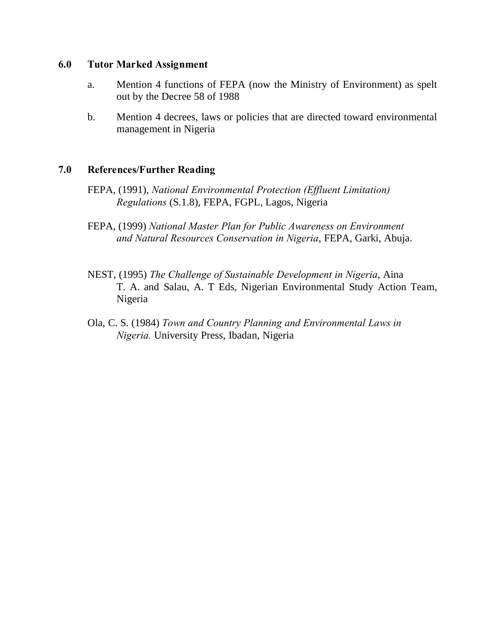### **6.0 Tutor Marked Assignment**

- a. Mention 4 functions of FEPA (now the Ministry of Environment) as spelt out by the Decree 58 of 1988
- b. Mention 4 decrees, laws or policies that are directed toward environmental management in Nigeria

### **7.0 References/Further Reading**

- FEPA, (1991), *National Environmental Protection (Effluent Limitation) Regulations* (S.1.8), FEPA, FGPL, Lagos, Nigeria
- FEPA, (1999) *National Master Plan for Public Awareness on Environment and Natural Resources Conservation in Nigeria*, FEPA, Garki, Abuja.
- NEST, (1995) *The Challenge of Sustainable Development in Nigeria*, Aina T. A. and Salau, A. T Eds, Nigerian Environmental Study Action Team, Nigeria
- Ola, C. S. (1984) *Town and Country Planning and Environmental Laws in Nigeria.* University Press, Ibadan, Nigeria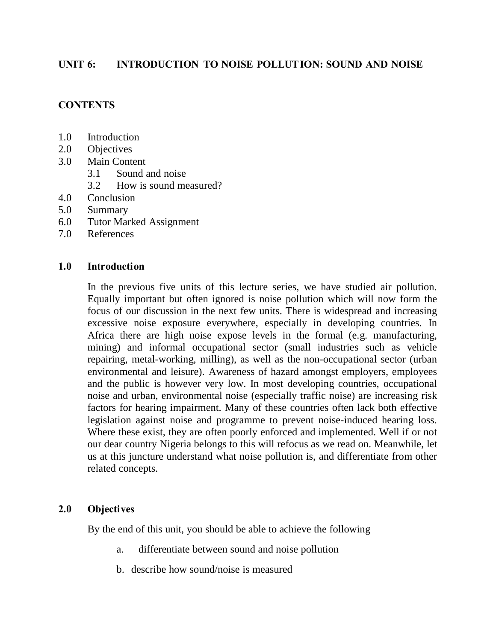### **UNIT 6: INTRODUCTION TO NOISE POLLUTION: SOUND AND NOISE**

### **CONTENTS**

- 1.0 Introduction
- 2.0 Objectives
- 3.0 Main Content
	- 3.1 Sound and noise
	- 3.2 How is sound measured?
- 4.0 Conclusion
- 5.0 Summary
- 6.0 Tutor Marked Assignment
- 7.0 References

### **1.0 Introduction**

In the previous five units of this lecture series, we have studied air pollution. Equally important but often ignored is noise pollution which will now form the focus of our discussion in the next few units. There is widespread and increasing excessive noise exposure everywhere, especially in developing countries. In Africa there are high noise expose levels in the formal (e.g. manufacturing, mining) and informal occupational sector (small industries such as vehicle repairing, metal-working, milling), as well as the non-occupational sector (urban environmental and leisure). Awareness of hazard amongst employers, employees and the public is however very low. In most developing countries, occupational noise and urban, environmental noise (especially traffic noise) are increasing risk factors for hearing impairment. Many of these countries often lack both effective legislation against noise and programme to prevent noise-induced hearing loss. Where these exist, they are often poorly enforced and implemented. Well if or not our dear country Nigeria belongs to this will refocus as we read on. Meanwhile, let us at this juncture understand what noise pollution is, and differentiate from other related concepts.

### **2.0 Objectives**

By the end of this unit, you should be able to achieve the following

- a. differentiate between sound and noise pollution
- b. describe how sound/noise is measured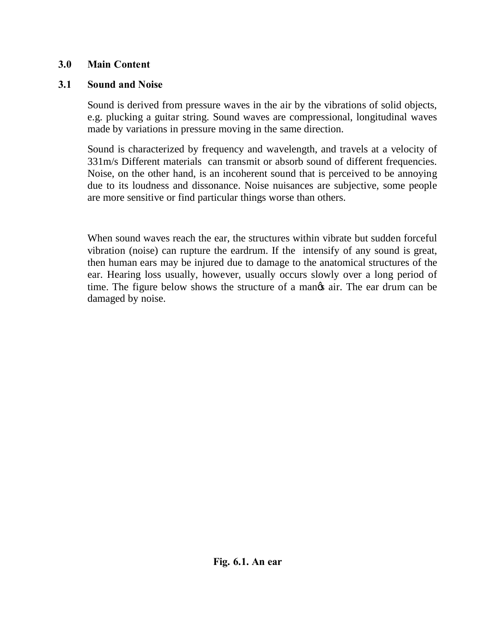# **3.0 Main Content**

# **3.1 Sound and Noise**

 Sound is derived from pressure waves in the air by the vibrations of solid objects, e.g. plucking a guitar string. Sound waves are compressional, longitudinal waves made by variations in pressure moving in the same direction.

 Sound is characterized by frequency and wavelength, and travels at a velocity of 331m/s Different materials can transmit or absorb sound of different frequencies. Noise, on the other hand, is an incoherent sound that is perceived to be annoying due to its loudness and dissonance. Noise nuisances are subjective, some people are more sensitive or find particular things worse than others.

 When sound waves reach the ear, the structures within vibrate but sudden forceful vibration (noise) can rupture the eardrum. If the intensify of any sound is great, then human ears may be injured due to damage to the anatomical structures of the ear. Hearing loss usually, however, usually occurs slowly over a long period of time. The figure below shows the structure of a manos air. The ear drum can be damaged by noise.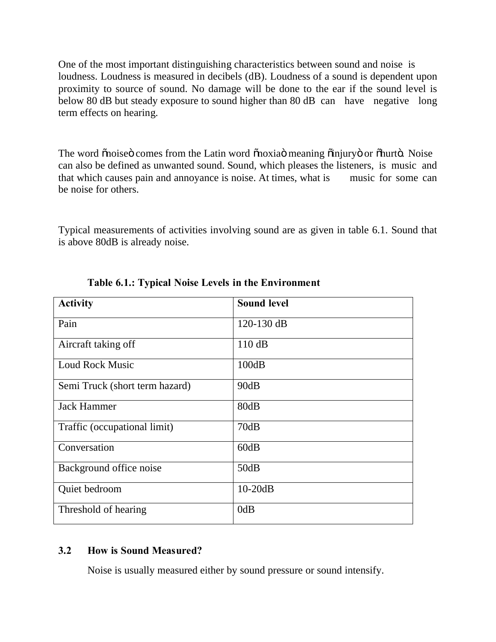One of the most important distinguishing characteristics between sound and noise is loudness. Loudness is measured in decibels (dB). Loudness of a sound is dependent upon proximity to source of sound. No damage will be done to the ear if the sound level is below 80 dB but steady exposure to sound higher than 80 dB can have negative long term effects on hearing.

The word õnoiseö comes from the Latin word õnoxiaö meaning õinjuryö or õhurtö. Noise can also be defined as unwanted sound. Sound, which pleases the listeners, is music and that which causes pain and annoyance is noise. At times, what is music for some can be noise for others.

Typical measurements of activities involving sound are as given in table 6.1. Sound that is above 80dB is already noise.

| <b>Activity</b>                | <b>Sound level</b> |
|--------------------------------|--------------------|
| Pain                           | $120-130$ dB       |
| Aircraft taking off            | 110dB              |
| <b>Loud Rock Music</b>         | 100dB              |
| Semi Truck (short term hazard) | 90dB               |
| <b>Jack Hammer</b>             | 80dB               |
| Traffic (occupational limit)   | 70dB               |
| Conversation                   | 60dB               |
| Background office noise        | 50dB               |
| Quiet bedroom                  | $10-20dB$          |
| Threshold of hearing           | 0dB                |

 **Table 6.1.: Typical Noise Levels in the Environment** 

# **3.2 How is Sound Measured?**

Noise is usually measured either by sound pressure or sound intensify.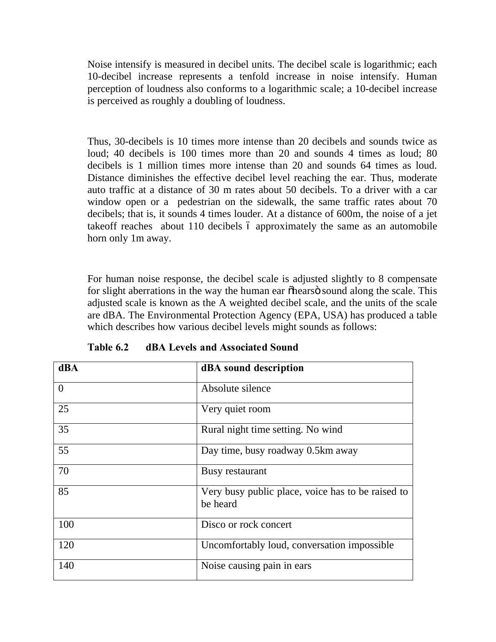Noise intensify is measured in decibel units. The decibel scale is logarithmic; each 10-decibel increase represents a tenfold increase in noise intensify. Human perception of loudness also conforms to a logarithmic scale; a 10-decibel increase is perceived as roughly a doubling of loudness.

Thus, 30-decibels is 10 times more intense than 20 decibels and sounds twice as loud; 40 decibels is 100 times more than 20 and sounds 4 times as loud; 80 decibels is 1 million times more intense than 20 and sounds 64 times as loud. Distance diminishes the effective decibel level reaching the ear. Thus, moderate auto traffic at a distance of 30 m rates about 50 decibels. To a driver with a car window open or a pedestrian on the sidewalk, the same traffic rates about 70 decibels; that is, it sounds 4 times louder. At a distance of 600m, the noise of a jet takeoff reaches about 110 decibels 6 approximately the same as an automobile horn only 1m away.

For human noise response, the decibel scale is adjusted slightly to 8 compensate for slight aberrations in the way the human ear  $\delta$ hears $\ddot{\sigma}$  sound along the scale. This adjusted scale is known as the A weighted decibel scale, and the units of the scale are dBA. The Environmental Protection Agency (EPA, USA) has produced a table which describes how various decibel levels might sounds as follows:

| <b>dBA</b>     | dBA sound description                                         |
|----------------|---------------------------------------------------------------|
| $\overline{0}$ | Absolute silence                                              |
| 25             | Very quiet room                                               |
| 35             | Rural night time setting. No wind                             |
| 55             | Day time, busy roadway 0.5km away                             |
| 70             | Busy restaurant                                               |
| 85             | Very busy public place, voice has to be raised to<br>be heard |
| 100            | Disco or rock concert                                         |
| 120            | Uncomfortably loud, conversation impossible                   |
| 140            | Noise causing pain in ears                                    |

**Table 6.2 dBA Levels and Associated Sound**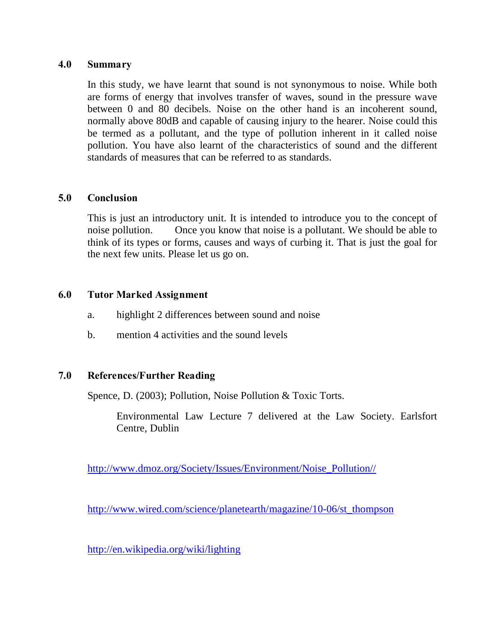#### **4.0 Summary**

In this study, we have learnt that sound is not synonymous to noise. While both are forms of energy that involves transfer of waves, sound in the pressure wave between 0 and 80 decibels. Noise on the other hand is an incoherent sound, normally above 80dB and capable of causing injury to the hearer. Noise could this be termed as a pollutant, and the type of pollution inherent in it called noise pollution. You have also learnt of the characteristics of sound and the different standards of measures that can be referred to as standards.

### **5.0 Conclusion**

This is just an introductory unit. It is intended to introduce you to the concept of noise pollution. Once you know that noise is a pollutant. We should be able to think of its types or forms, causes and ways of curbing it. That is just the goal for the next few units. Please let us go on.

### **6.0 Tutor Marked Assignment**

- a. highlight 2 differences between sound and noise
- b. mention 4 activities and the sound levels

### **7.0 References/Further Reading**

Spence, D. (2003); Pollution, Noise Pollution & Toxic Torts.

Environmental Law Lecture 7 delivered at the Law Society. Earlsfort Centre, Dublin

[http://www.dmoz.org/Society/Issues/Environment/Noise\\_Pollution//](http://www.dmoz.org/Society/Issues/Environment/Noise_Pollution//)

[http://www.wired.com/science/planetearth/magazine/10-06/st\\_thompson](http://www.wired.com/science/planetearth/magazine/10-06/st_thompsondmoz.org/Society/Issues/Environment/Noise_Pollution//)

<http://en.wikipedia.org/wiki/lighting>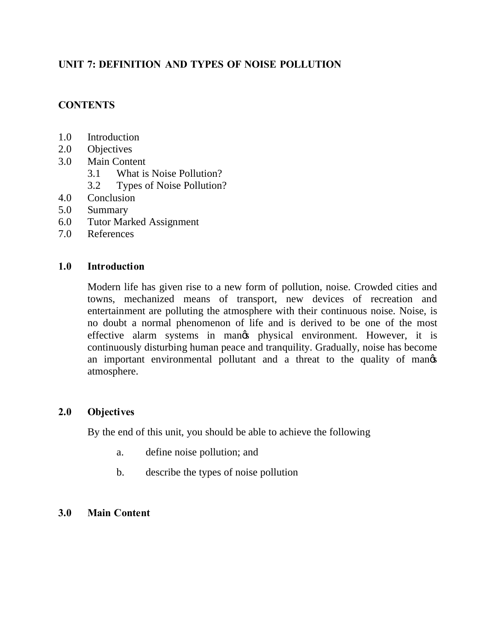# **UNIT 7: DEFINITION AND TYPES OF NOISE POLLUTION**

# **CONTENTS**

- 1.0 Introduction
- 2.0 Objectives
- 3.0 Main Content
	- 3.1 What is Noise Pollution?
	- 3.2 Types of Noise Pollution?
- 4.0 Conclusion
- 5.0 Summary
- 6.0 Tutor Marked Assignment
- 7.0 References

### **1.0 Introduction**

Modern life has given rise to a new form of pollution, noise. Crowded cities and towns, mechanized means of transport, new devices of recreation and entertainment are polluting the atmosphere with their continuous noise. Noise, is no doubt a normal phenomenon of life and is derived to be one of the most effective alarm systems in mangs physical environment. However, it is continuously disturbing human peace and tranquility. Gradually, noise has become an important environmental pollutant and a threat to the quality of mange atmosphere.

### **2.0 Objectives**

By the end of this unit, you should be able to achieve the following

- a. define noise pollution; and
- b. describe the types of noise pollution

# **3.0 Main Content**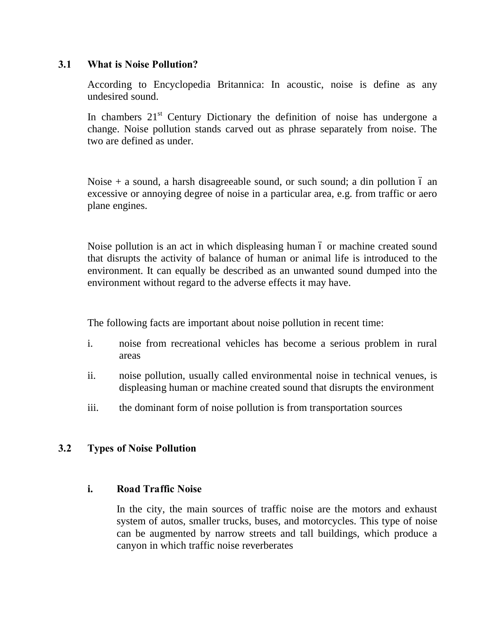### **3.1 What is Noise Pollution?**

According to Encyclopedia Britannica: In acoustic, noise is define as any undesired sound.

In chambers  $21<sup>st</sup>$  Century Dictionary the definition of noise has undergone a change. Noise pollution stands carved out as phrase separately from noise. The two are defined as under.

Noise  $+$  a sound, a harsh disagreeable sound, or such sound; a din pollution 6 an excessive or annoying degree of noise in a particular area, e.g. from traffic or aero plane engines.

Noise pollution is an act in which displeasing human 6 or machine created sound that disrupts the activity of balance of human or animal life is introduced to the environment. It can equally be described as an unwanted sound dumped into the environment without regard to the adverse effects it may have.

The following facts are important about noise pollution in recent time:

- i. noise from recreational vehicles has become a serious problem in rural areas
- ii. noise pollution, usually called environmental noise in technical venues, is displeasing human or machine created sound that disrupts the environment
- iii. the dominant form of noise pollution is from transportation sources

# **3.2 Types of Noise Pollution**

### **i. Road Traffic Noise**

In the city, the main sources of traffic noise are the motors and exhaust system of autos, smaller trucks, buses, and motorcycles. This type of noise can be augmented by narrow streets and tall buildings, which produce a canyon in which traffic noise reverberates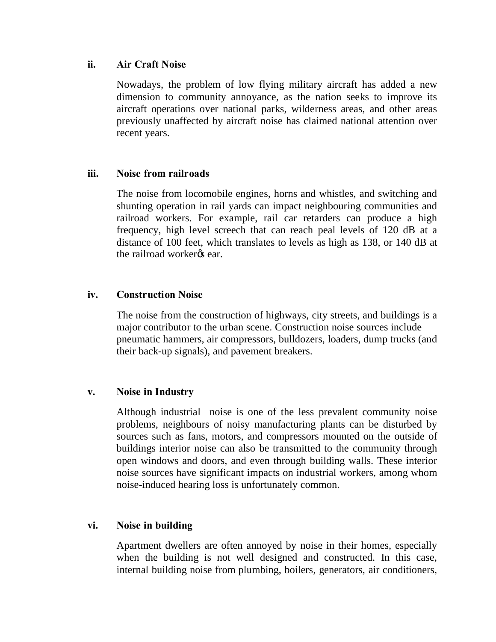### **ii. Air Craft Noise**

Nowadays, the problem of low flying military aircraft has added a new dimension to community annoyance, as the nation seeks to improve its aircraft operations over national parks, wilderness areas, and other areas previously unaffected by aircraft noise has claimed national attention over recent years.

### **iii. Noise from railroads**

The noise from locomobile engines, horns and whistles, and switching and shunting operation in rail yards can impact neighbouring communities and railroad workers. For example, rail car retarders can produce a high frequency, high level screech that can reach peal levels of 120 dB at a distance of 100 feet, which translates to levels as high as 138, or 140 dB at the railroad worker<sub>%</sub> ear.

### **iv. Construction Noise**

 The noise from the construction of highways, city streets, and buildings is a major contributor to the urban scene. Construction noise sources include pneumatic hammers, air compressors, bulldozers, loaders, dump trucks (and their back-up signals), and pavement breakers.

### **v. Noise in Industry**

 Although industrial noise is one of the less prevalent community noise problems, neighbours of noisy manufacturing plants can be disturbed by sources such as fans, motors, and compressors mounted on the outside of buildings interior noise can also be transmitted to the community through open windows and doors, and even through building walls. These interior noise sources have significant impacts on industrial workers, among whom noise-induced hearing loss is unfortunately common.

### **vi. Noise in building**

 Apartment dwellers are often annoyed by noise in their homes, especially when the building is not well designed and constructed. In this case, internal building noise from plumbing, boilers, generators, air conditioners,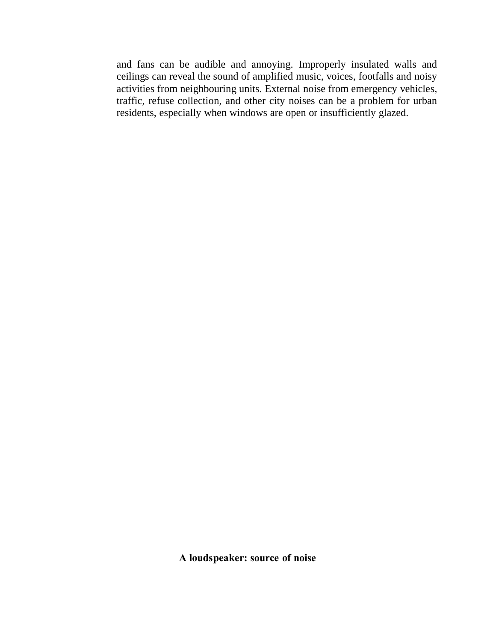and fans can be audible and annoying. Improperly insulated walls and ceilings can reveal the sound of amplified music, voices, footfalls and noisy activities from neighbouring units. External noise from emergency vehicles, traffic, refuse collection, and other city noises can be a problem for urban residents, especially when windows are open or insufficiently glazed.

**A loudspeaker: source of noise**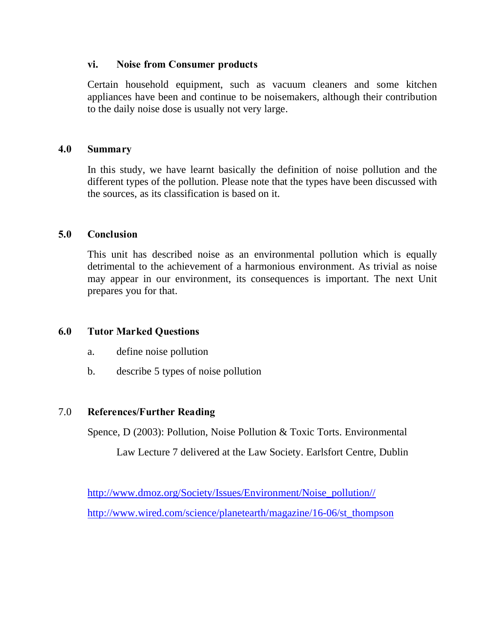### **vi. Noise from Consumer products**

Certain household equipment, such as vacuum cleaners and some kitchen appliances have been and continue to be noisemakers, although their contribution to the daily noise dose is usually not very large.

### **4.0 Summary**

In this study, we have learnt basically the definition of noise pollution and the different types of the pollution. Please note that the types have been discussed with the sources, as its classification is based on it.

# **5.0 Conclusion**

This unit has described noise as an environmental pollution which is equally detrimental to the achievement of a harmonious environment. As trivial as noise may appear in our environment, its consequences is important. The next Unit prepares you for that.

# **6.0 Tutor Marked Questions**

- a. define noise pollution
- b. describe 5 types of noise pollution

# 7.0 **References/Further Reading**

Spence, D (2003): Pollution, Noise Pollution & Toxic Torts. Environmental

Law Lecture 7 delivered at the Law Society. Earlsfort Centre, Dublin

[http://www.dmoz.org/Society/Issues/Environment/Noise\\_pollution//](http://www.dmoz.org/Society/Issues/Environment/Noise_pollution//) [http://www.wired.com/science/planetearth/magazine/16-06/st\\_thompson](http://www.wired.com/science/planetearth/magazine/16-06/st_thompson)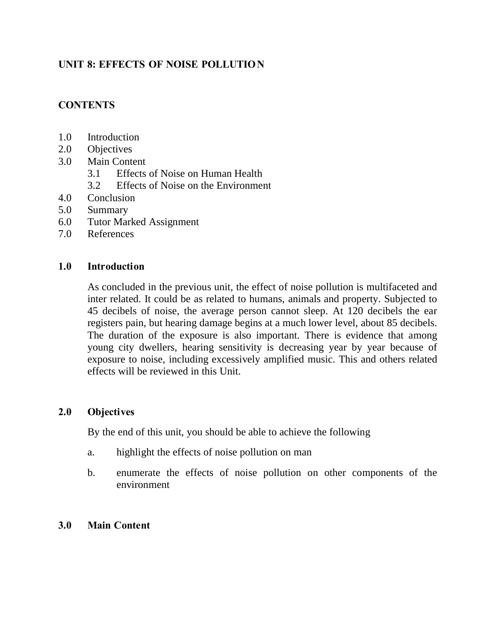# **UNIT 8: EFFECTS OF NOISE POLLUTIO N**

# **CONTENTS**

- 1.0 Introduction
- 2.0 Objectives
- 3.0 Main Content
	- 3.1 Effects of Noise on Human Health
	- 3.2 Effects of Noise on the Environment
- 4.0 Conclusion
- 5.0 Summary
- 6.0 Tutor Marked Assignment
- 7.0 References

### **1.0 Introduction**

As concluded in the previous unit, the effect of noise pollution is multifaceted and inter related. It could be as related to humans, animals and property. Subjected to 45 decibels of noise, the average person cannot sleep. At 120 decibels the ear registers pain, but hearing damage begins at a much lower level, about 85 decibels. The duration of the exposure is also important. There is evidence that among young city dwellers, hearing sensitivity is decreasing year by year because of exposure to noise, including excessively amplified music. This and others related effects will be reviewed in this Unit.

### **2.0 Objectives**

By the end of this unit, you should be able to achieve the following

- a. highlight the effects of noise pollution on man
- b. enumerate the effects of noise pollution on other components of the environment

# **3.0 Main Content**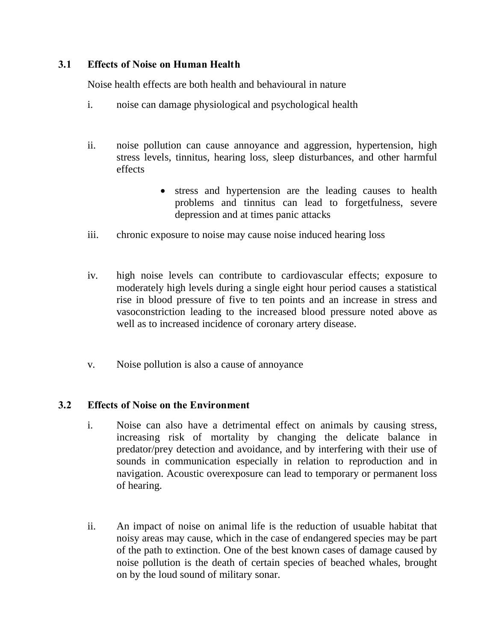# **3.1 Effects of Noise on Human Health**

Noise health effects are both health and behavioural in nature

- i. noise can damage physiological and psychological health
- ii. noise pollution can cause annoyance and aggression, hypertension, high stress levels, tinnitus, hearing loss, sleep disturbances, and other harmful effects
	- stress and hypertension are the leading causes to health problems and tinnitus can lead to forgetfulness, severe depression and at times panic attacks
- iii. chronic exposure to noise may cause noise induced hearing loss
- iv. high noise levels can contribute to cardiovascular effects; exposure to moderately high levels during a single eight hour period causes a statistical rise in blood pressure of five to ten points and an increase in stress and vasoconstriction leading to the increased blood pressure noted above as well as to increased incidence of coronary artery disease.
- v. Noise pollution is also a cause of annoyance

# **3.2 Effects of Noise on the Environment**

- i. Noise can also have a detrimental effect on animals by causing stress, increasing risk of mortality by changing the delicate balance in predator/prey detection and avoidance, and by interfering with their use of sounds in communication especially in relation to reproduction and in navigation. Acoustic overexposure can lead to temporary or permanent loss of hearing.
- ii. An impact of noise on animal life is the reduction of usuable habitat that noisy areas may cause, which in the case of endangered species may be part of the path to extinction. One of the best known cases of damage caused by noise pollution is the death of certain species of beached whales, brought on by the loud sound of military sonar.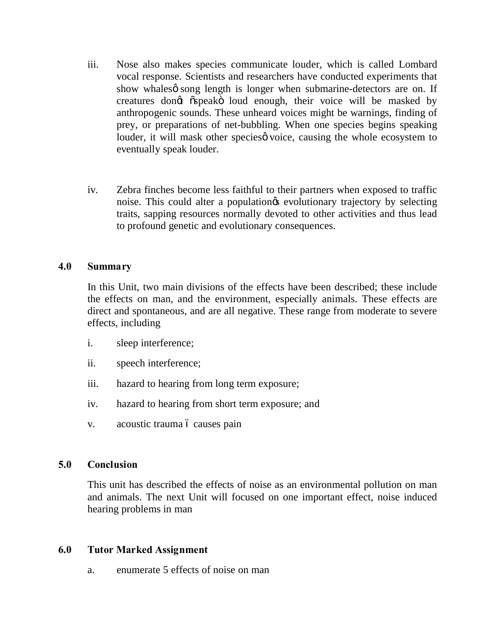- iii. Nose also makes species communicate louder, which is called Lombard vocal response. Scientists and researchers have conducted experiments that show whales of song length is longer when submarine-detectors are on. If creatures dongt "ospeako" loud enough, their voice will be masked by anthropogenic sounds. These unheard voices might be warnings, finding of prey, or preparations of net-bubbling. When one species begins speaking louder, it will mask other species voice, causing the whole ecosystem to eventually speak louder.
- iv. Zebra finches become less faithful to their partners when exposed to traffic noise. This could alter a population is evolutionary trajectory by selecting traits, sapping resources normally devoted to other activities and thus lead to profound genetic and evolutionary consequences.

### **4.0 Summary**

In this Unit, two main divisions of the effects have been described; these include the effects on man, and the environment, especially animals. These effects are direct and spontaneous, and are all negative. These range from moderate to severe effects, including

- i. sleep interference;
- ii. speech interference;
- iii. hazard to hearing from long term exposure;
- iv. hazard to hearing from short term exposure; and
- v. acoustic trauma ó causes pain

### **5.0 Conclusion**

This unit has described the effects of noise as an environmental pollution on man and animals. The next Unit will focused on one important effect, noise induced hearing problems in man

### **6.0 Tutor Marked Assignment**

a. enumerate 5 effects of noise on man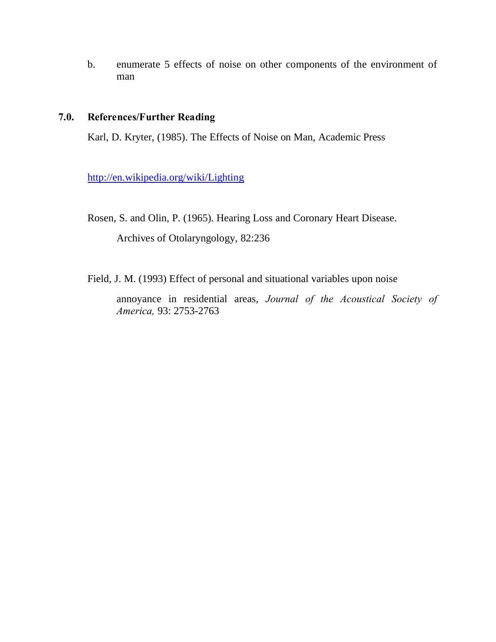b. enumerate 5 effects of noise on other components of the environment of man

# **7.0. References/Further Reading**

Karl, D. Kryter, (1985). The Effects of Noise on Man, Academic Press

<http://en.wikipedia.org/wiki/Lighting>

Rosen, S. and Olin, P. (1965). Hearing Loss and Coronary Heart Disease.

Archives of Otolaryngology, 82:236

Field, J. M. (1993) Effect of personal and situational variables upon noise

annoyance in residential areas, *Journal of the Acoustical Society of America,* 93: 2753-2763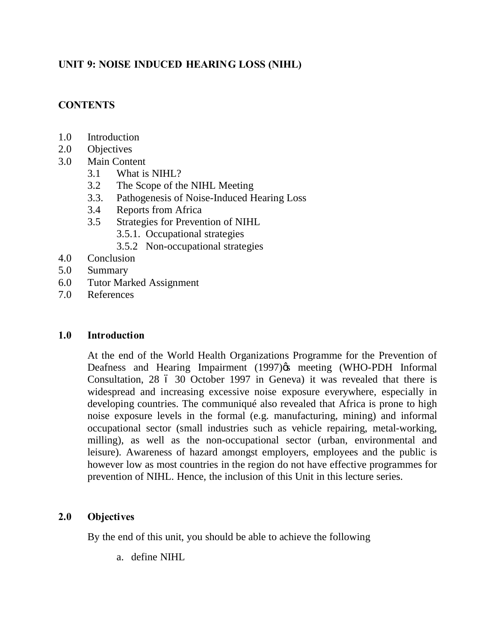# **UNIT 9: NOISE INDUCED HEARING LOSS (NIHL)**

# **CONTENTS**

- 1.0 Introduction
- 2.0 Objectives
- 3.0 Main Content
	- 3.1 What is NIHL?
	- 3.2 The Scope of the NIHL Meeting
	- 3.3. Pathogenesis of Noise-Induced Hearing Loss
	- 3.4 Reports from Africa
	- 3.5 Strategies for Prevention of NIHL
		- 3.5.1. Occupational strategies
		- 3.5.2 Non-occupational strategies
- 4.0 Conclusion
- 5.0 Summary
- 6.0 Tutor Marked Assignment
- 7.0 References

### **1.0 Introduction**

At the end of the World Health Organizations Programme for the Prevention of Deafness and Hearing Impairment (1997) os meeting (WHO-PDH Informal Consultation, 28 6 30 October 1997 in Geneva) it was revealed that there is widespread and increasing excessive noise exposure everywhere, especially in developing countries. The communiqué also revealed that Africa is prone to high noise exposure levels in the formal (e.g. manufacturing, mining) and informal occupational sector (small industries such as vehicle repairing, metal-working, milling), as well as the non-occupational sector (urban, environmental and leisure). Awareness of hazard amongst employers, employees and the public is however low as most countries in the region do not have effective programmes for prevention of NIHL. Hence, the inclusion of this Unit in this lecture series.

# **2.0 Objectives**

By the end of this unit, you should be able to achieve the following

a. define NIHL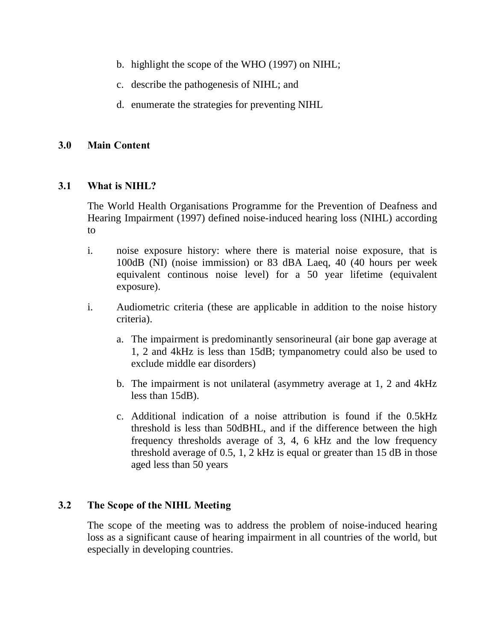- b. highlight the scope of the WHO (1997) on NIHL;
- c. describe the pathogenesis of NIHL; and
- d. enumerate the strategies for preventing NIHL

### **3.0 Main Content**

### **3.1 What is NIHL?**

The World Health Organisations Programme for the Prevention of Deafness and Hearing Impairment (1997) defined noise-induced hearing loss (NIHL) according to

- i. noise exposure history: where there is material noise exposure, that is 100dB (NI) (noise immission) or 83 dBA Laeq, 40 (40 hours per week equivalent continous noise level) for a 50 year lifetime (equivalent exposure).
- i. Audiometric criteria (these are applicable in addition to the noise history criteria).
	- a. The impairment is predominantly sensorineural (air bone gap average at 1, 2 and 4kHz is less than 15dB; tympanometry could also be used to exclude middle ear disorders)
	- b. The impairment is not unilateral (asymmetry average at 1, 2 and 4kHz less than 15dB).
	- c. Additional indication of a noise attribution is found if the 0.5kHz threshold is less than 50dBHL, and if the difference between the high frequency thresholds average of 3, 4, 6 kHz and the low frequency threshold average of 0.5, 1, 2 kHz is equal or greater than 15 dB in those aged less than 50 years

# **3.2 The Scope of the NIHL Meeting**

 The scope of the meeting was to address the problem of noise-induced hearing loss as a significant cause of hearing impairment in all countries of the world, but especially in developing countries.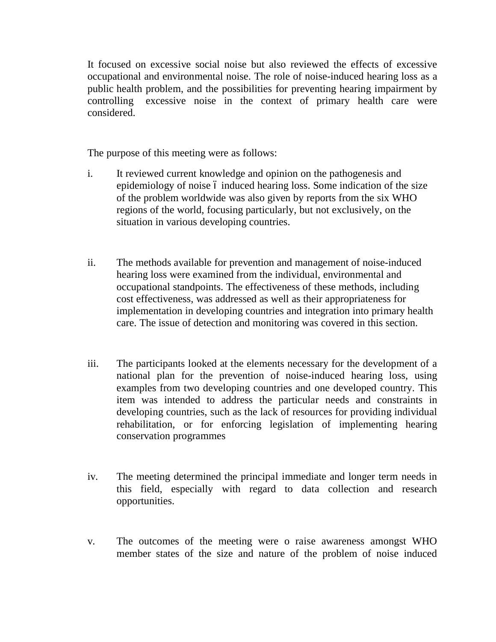It focused on excessive social noise but also reviewed the effects of excessive occupational and environmental noise. The role of noise-induced hearing loss as a public health problem, and the possibilities for preventing hearing impairment by controlling excessive noise in the context of primary health care were considered.

The purpose of this meeting were as follows:

- i. It reviewed current knowledge and opinion on the pathogenesis and epidemiology of noise 6 induced hearing loss. Some indication of the size of the problem worldwide was also given by reports from the six WHO regions of the world, focusing particularly, but not exclusively, on the situation in various developing countries.
- ii. The methods available for prevention and management of noise-induced hearing loss were examined from the individual, environmental and occupational standpoints. The effectiveness of these methods, including cost effectiveness, was addressed as well as their appropriateness for implementation in developing countries and integration into primary health care. The issue of detection and monitoring was covered in this section.
- iii. The participants looked at the elements necessary for the development of a national plan for the prevention of noise-induced hearing loss, using examples from two developing countries and one developed country. This item was intended to address the particular needs and constraints in developing countries, such as the lack of resources for providing individual rehabilitation, or for enforcing legislation of implementing hearing conservation programmes
- iv. The meeting determined the principal immediate and longer term needs in this field, especially with regard to data collection and research opportunities.
- v. The outcomes of the meeting were o raise awareness amongst WHO member states of the size and nature of the problem of noise induced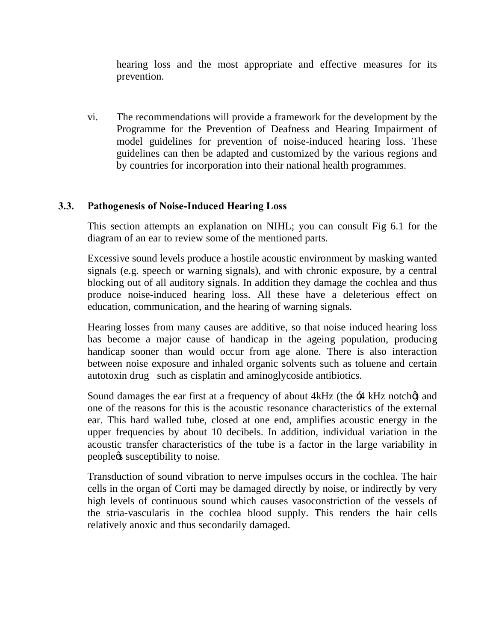hearing loss and the most appropriate and effective measures for its prevention.

vi. The recommendations will provide a framework for the development by the Programme for the Prevention of Deafness and Hearing Impairment of model guidelines for prevention of noise-induced hearing loss. These guidelines can then be adapted and customized by the various regions and by countries for incorporation into their national health programmes.

# **3.3. Pathogenesis of Noise-Induced Hearing Loss**

This section attempts an explanation on NIHL; you can consult Fig 6.1 for the diagram of an ear to review some of the mentioned parts.

Excessive sound levels produce a hostile acoustic environment by masking wanted signals (e.g. speech or warning signals), and with chronic exposure, by a central blocking out of all auditory signals. In addition they damage the cochlea and thus produce noise-induced hearing loss. All these have a deleterious effect on education, communication, and the hearing of warning signals.

Hearing losses from many causes are additive, so that noise induced hearing loss has become a major cause of handicap in the ageing population, producing handicap sooner than would occur from age alone. There is also interaction between noise exposure and inhaled organic solvents such as toluene and certain autotoxin drug such as cisplatin and aminoglycoside antibiotics.

Sound damages the ear first at a frequency of about  $4kHz$  (the  $\div 4$  kHz notch $\emptyset$ ) and one of the reasons for this is the acoustic resonance characteristics of the external ear. This hard walled tube, closed at one end, amplifies acoustic energy in the upper frequencies by about 10 decibels. In addition, individual variation in the acoustic transfer characteristics of the tube is a factor in the large variability in peoplegs susceptibility to noise.

Transduction of sound vibration to nerve impulses occurs in the cochlea. The hair cells in the organ of Corti may be damaged directly by noise, or indirectly by very high levels of continuous sound which causes vasoconstriction of the vessels of the stria-vascularis in the cochlea blood supply. This renders the hair cells relatively anoxic and thus secondarily damaged.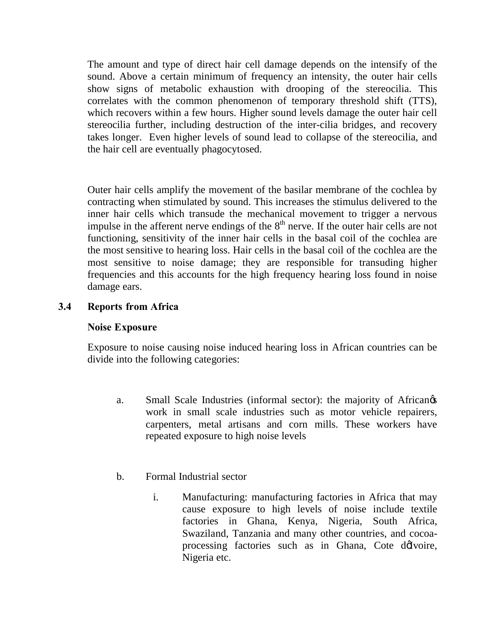The amount and type of direct hair cell damage depends on the intensify of the sound. Above a certain minimum of frequency an intensity, the outer hair cells show signs of metabolic exhaustion with drooping of the stereocilia. This correlates with the common phenomenon of temporary threshold shift (TTS), which recovers within a few hours. Higher sound levels damage the outer hair cell stereocilia further, including destruction of the inter-cilia bridges, and recovery takes longer. Even higher levels of sound lead to collapse of the stereocilia, and the hair cell are eventually phagocytosed.

Outer hair cells amplify the movement of the basilar membrane of the cochlea by contracting when stimulated by sound. This increases the stimulus delivered to the inner hair cells which transude the mechanical movement to trigger a nervous impulse in the afferent nerve endings of the  $8<sup>th</sup>$  nerve. If the outer hair cells are not functioning, sensitivity of the inner hair cells in the basal coil of the cochlea are the most sensitive to hearing loss. Hair cells in the basal coil of the cochlea are the most sensitive to noise damage; they are responsible for transuding higher frequencies and this accounts for the high frequency hearing loss found in noise damage ears.

### **3.4 Reports from Africa**

### **Noise Exposure**

Exposure to noise causing noise induced hearing loss in African countries can be divide into the following categories:

- a. Small Scale Industries (informal sector): the majority of Africangs work in small scale industries such as motor vehicle repairers, carpenters, metal artisans and corn mills. These workers have repeated exposure to high noise levels
- b. Formal Industrial sector
	- i. Manufacturing: manufacturing factories in Africa that may cause exposure to high levels of noise include textile factories in Ghana, Kenya, Nigeria, South Africa, Swaziland, Tanzania and many other countries, and cocoaprocessing factories such as in Ghana, Cote dolvoire, Nigeria etc.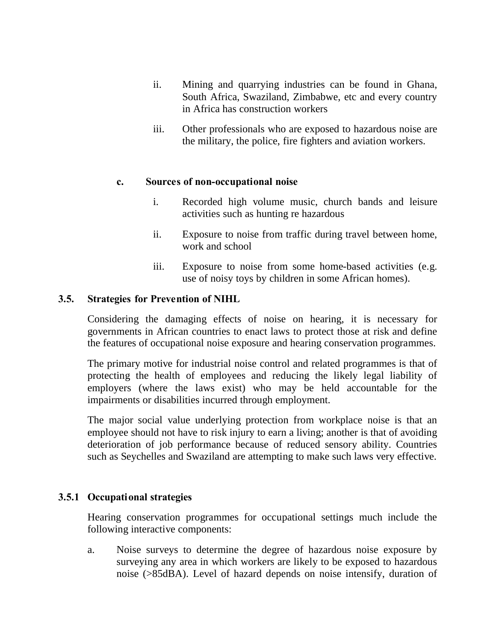- ii. Mining and quarrying industries can be found in Ghana, South Africa, Swaziland, Zimbabwe, etc and every country in Africa has construction workers
- iii. Other professionals who are exposed to hazardous noise are the military, the police, fire fighters and aviation workers.

### **c. Sources of non-occupational noise**

- i. Recorded high volume music, church bands and leisure activities such as hunting re hazardous
- ii. Exposure to noise from traffic during travel between home, work and school
- iii. Exposure to noise from some home-based activities (e.g. use of noisy toys by children in some African homes).

### **3.5. Strategies for Prevention of NIHL**

Considering the damaging effects of noise on hearing, it is necessary for governments in African countries to enact laws to protect those at risk and define the features of occupational noise exposure and hearing conservation programmes.

The primary motive for industrial noise control and related programmes is that of protecting the health of employees and reducing the likely legal liability of employers (where the laws exist) who may be held accountable for the impairments or disabilities incurred through employment.

The major social value underlying protection from workplace noise is that an employee should not have to risk injury to earn a living; another is that of avoiding deterioration of job performance because of reduced sensory ability. Countries such as Seychelles and Swaziland are attempting to make such laws very effective.

# **3.5.1 Occupational strategies**

Hearing conservation programmes for occupational settings much include the following interactive components:

a. Noise surveys to determine the degree of hazardous noise exposure by surveying any area in which workers are likely to be exposed to hazardous noise (>85dBA). Level of hazard depends on noise intensify, duration of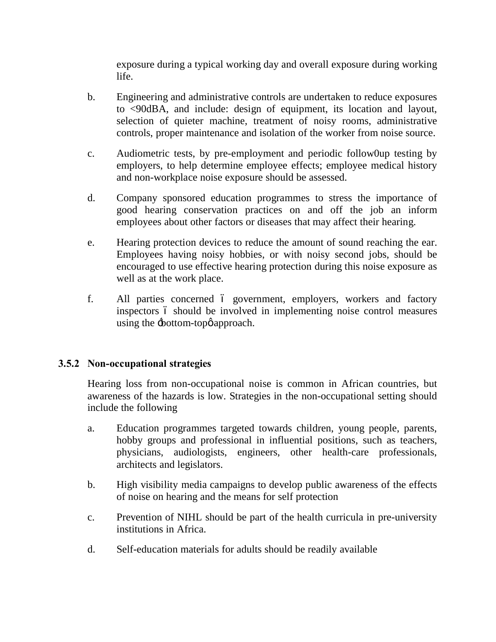exposure during a typical working day and overall exposure during working life.

- b. Engineering and administrative controls are undertaken to reduce exposures to <90dBA, and include: design of equipment, its location and layout, selection of quieter machine, treatment of noisy rooms, administrative controls, proper maintenance and isolation of the worker from noise source.
- c. Audiometric tests, by pre-employment and periodic follow0up testing by employers, to help determine employee effects; employee medical history and non-workplace noise exposure should be assessed.
- d. Company sponsored education programmes to stress the importance of good hearing conservation practices on and off the job an inform employees about other factors or diseases that may affect their hearing.
- e. Hearing protection devices to reduce the amount of sound reaching the ear. Employees having noisy hobbies, or with noisy second jobs, should be encouraged to use effective hearing protection during this noise exposure as well as at the work place.
- f. All parties concerned 6 government, employers, workers and factory inspectors 6 should be involved in implementing noise control measures using the  $\pm$ bottom-top $\phi$  approach.

### **3.5.2 Non-occupational strategies**

Hearing loss from non-occupational noise is common in African countries, but awareness of the hazards is low. Strategies in the non-occupational setting should include the following

- a. Education programmes targeted towards children, young people, parents, hobby groups and professional in influential positions, such as teachers, physicians, audiologists, engineers, other health-care professionals, architects and legislators.
- b. High visibility media campaigns to develop public awareness of the effects of noise on hearing and the means for self protection
- c. Prevention of NIHL should be part of the health curricula in pre-university institutions in Africa.
- d. Self-education materials for adults should be readily available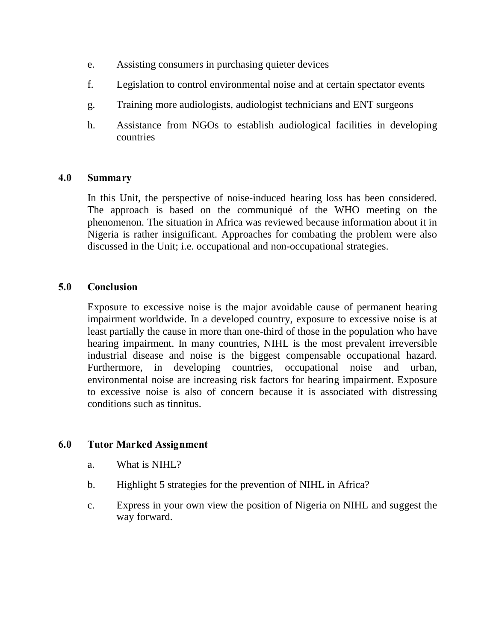- e. Assisting consumers in purchasing quieter devices
- f. Legislation to control environmental noise and at certain spectator events
- g. Training more audiologists, audiologist technicians and ENT surgeons
- h. Assistance from NGOs to establish audiological facilities in developing countries

### **4.0 Summary**

In this Unit, the perspective of noise-induced hearing loss has been considered. The approach is based on the communiqué of the WHO meeting on the phenomenon. The situation in Africa was reviewed because information about it in Nigeria is rather insignificant. Approaches for combating the problem were also discussed in the Unit; i.e. occupational and non-occupational strategies.

### **5.0 Conclusion**

Exposure to excessive noise is the major avoidable cause of permanent hearing impairment worldwide. In a developed country, exposure to excessive noise is at least partially the cause in more than one-third of those in the population who have hearing impairment. In many countries, NIHL is the most prevalent irreversible industrial disease and noise is the biggest compensable occupational hazard. Furthermore, in developing countries, occupational noise and urban, environmental noise are increasing risk factors for hearing impairment. Exposure to excessive noise is also of concern because it is associated with distressing conditions such as tinnitus.

# **6.0 Tutor Marked Assignment**

- a. What is NIHL?
- b. Highlight 5 strategies for the prevention of NIHL in Africa?
- c. Express in your own view the position of Nigeria on NIHL and suggest the way forward.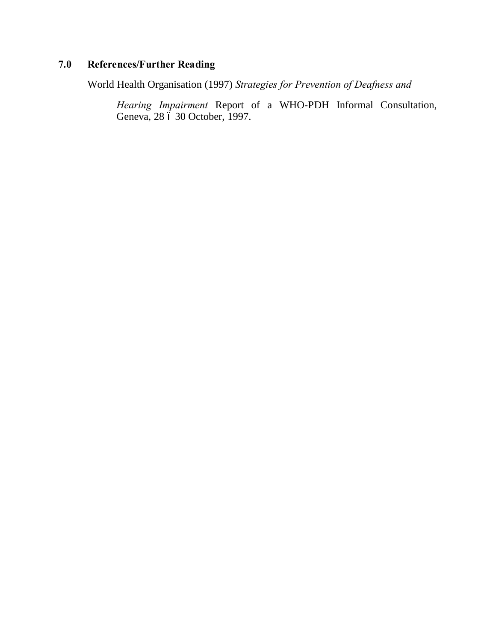# **7.0 References/Further Reading**

World Health Organisation (1997) *Strategies for Prevention of Deafness and* 

*Hearing Impairment* Report of a WHO-PDH Informal Consultation, Geneva, 28 6 30 October, 1997.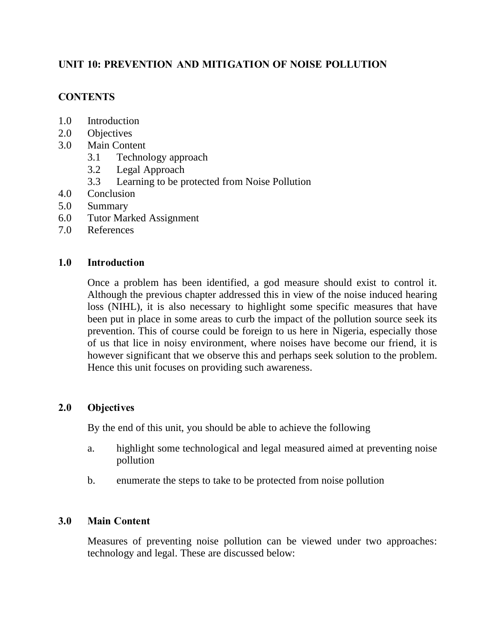# **UNIT 10: PREVENTION AND MITIGATION OF NOISE POLLUTION**

# **CONTENTS**

- 1.0 Introduction
- 2.0 Objectives
- 3.0 Main Content
	- 3.1 Technology approach
	- 3.2 Legal Approach
	- 3.3 Learning to be protected from Noise Pollution
- 4.0 Conclusion
- 5.0 Summary
- 6.0 Tutor Marked Assignment
- 7.0 References

### **1.0 Introduction**

Once a problem has been identified, a god measure should exist to control it. Although the previous chapter addressed this in view of the noise induced hearing loss (NIHL), it is also necessary to highlight some specific measures that have been put in place in some areas to curb the impact of the pollution source seek its prevention. This of course could be foreign to us here in Nigeria, especially those of us that lice in noisy environment, where noises have become our friend, it is however significant that we observe this and perhaps seek solution to the problem. Hence this unit focuses on providing such awareness.

### **2.0 Objectives**

By the end of this unit, you should be able to achieve the following

- a. highlight some technological and legal measured aimed at preventing noise pollution
- b. enumerate the steps to take to be protected from noise pollution

# **3.0 Main Content**

Measures of preventing noise pollution can be viewed under two approaches: technology and legal. These are discussed below: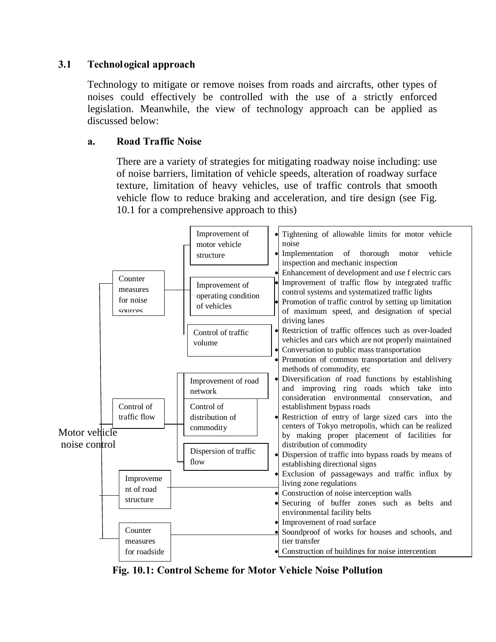# **3.1 Technological approach**

Technology to mitigate or remove noises from roads and aircrafts, other types of noises could effectively be controlled with the use of a strictly enforced legislation. Meanwhile, the view of technology approach can be applied as discussed below:

### **a. Road Traffic Noise**

There are a variety of strategies for mitigating roadway noise including: use of noise barriers, limitation of vehicle speeds, alteration of roadway surface texture, limitation of heavy vehicles, use of traffic controls that smooth vehicle flow to reduce braking and acceleration, and tire design (see Fig. 10.1 for a comprehensive approach to this)



**Fig. 10.1: Control Scheme for Motor Vehicle Noise Pollution**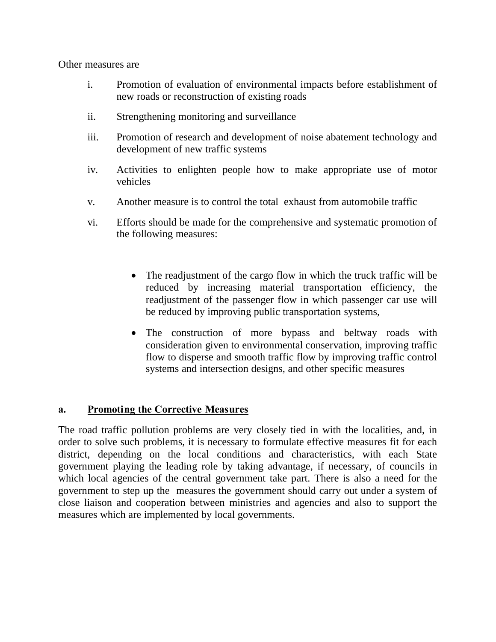Other measures are

- i. Promotion of evaluation of environmental impacts before establishment of new roads or reconstruction of existing roads
- ii. Strengthening monitoring and surveillance
- iii. Promotion of research and development of noise abatement technology and development of new traffic systems
- iv. Activities to enlighten people how to make appropriate use of motor vehicles
- v. Another measure is to control the total exhaust from automobile traffic
- vi. Efforts should be made for the comprehensive and systematic promotion of the following measures:
	- The readjustment of the cargo flow in which the truck traffic will be reduced by increasing material transportation efficiency, the readjustment of the passenger flow in which passenger car use will be reduced by improving public transportation systems,
	- The construction of more bypass and beltway roads with consideration given to environmental conservation, improving traffic flow to disperse and smooth traffic flow by improving traffic control systems and intersection designs, and other specific measures

# **a. Promoting the Corrective Measures**

The road traffic pollution problems are very closely tied in with the localities, and, in order to solve such problems, it is necessary to formulate effective measures fit for each district, depending on the local conditions and characteristics, with each State government playing the leading role by taking advantage, if necessary, of councils in which local agencies of the central government take part. There is also a need for the government to step up the measures the government should carry out under a system of close liaison and cooperation between ministries and agencies and also to support the measures which are implemented by local governments.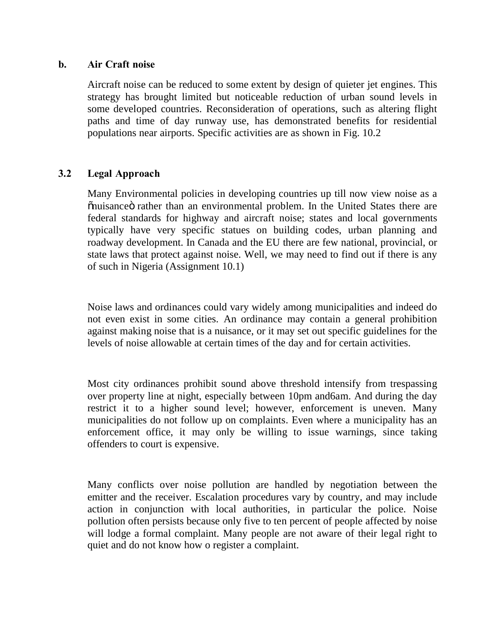### **b. Air Craft noise**

Aircraft noise can be reduced to some extent by design of quieter jet engines. This strategy has brought limited but noticeable reduction of urban sound levels in some developed countries. Reconsideration of operations, such as altering flight paths and time of day runway use, has demonstrated benefits for residential populations near airports. Specific activities are as shown in Fig. 10.2

# **3.2 Legal Approach**

Many Environmental policies in developing countries up till now view noise as a  $\ddot{\text{o}}$ nuisance $\ddot{\text{o}}$  rather than an environmental problem. In the United States there are federal standards for highway and aircraft noise; states and local governments typically have very specific statues on building codes, urban planning and roadway development. In Canada and the EU there are few national, provincial, or state laws that protect against noise. Well, we may need to find out if there is any of such in Nigeria (Assignment 10.1)

Noise laws and ordinances could vary widely among municipalities and indeed do not even exist in some cities. An ordinance may contain a general prohibition against making noise that is a nuisance, or it may set out specific guidelines for the levels of noise allowable at certain times of the day and for certain activities.

Most city ordinances prohibit sound above threshold intensify from trespassing over property line at night, especially between 10pm and6am. And during the day restrict it to a higher sound level; however, enforcement is uneven. Many municipalities do not follow up on complaints. Even where a municipality has an enforcement office, it may only be willing to issue warnings, since taking offenders to court is expensive.

Many conflicts over noise pollution are handled by negotiation between the emitter and the receiver. Escalation procedures vary by country, and may include action in conjunction with local authorities, in particular the police. Noise pollution often persists because only five to ten percent of people affected by noise will lodge a formal complaint. Many people are not aware of their legal right to quiet and do not know how o register a complaint.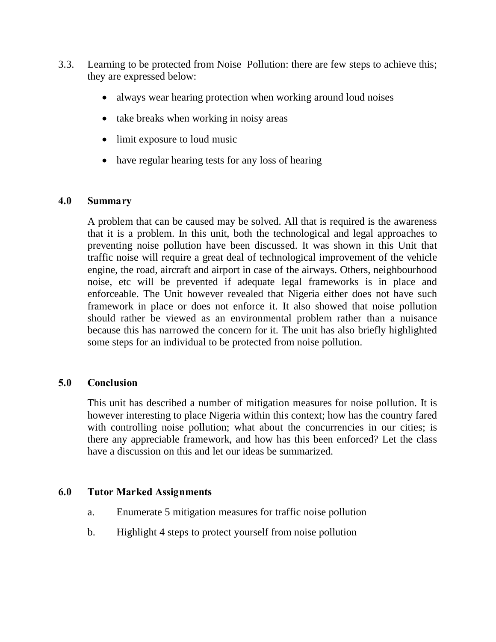- 3.3. Learning to be protected from Noise Pollution: there are few steps to achieve this; they are expressed below:
	- always wear hearing protection when working around loud noises
	- take breaks when working in noisy areas
	- limit exposure to loud music
	- have regular hearing tests for any loss of hearing

### **4.0 Summary**

A problem that can be caused may be solved. All that is required is the awareness that it is a problem. In this unit, both the technological and legal approaches to preventing noise pollution have been discussed. It was shown in this Unit that traffic noise will require a great deal of technological improvement of the vehicle engine, the road, aircraft and airport in case of the airways. Others, neighbourhood noise, etc will be prevented if adequate legal frameworks is in place and enforceable. The Unit however revealed that Nigeria either does not have such framework in place or does not enforce it. It also showed that noise pollution should rather be viewed as an environmental problem rather than a nuisance because this has narrowed the concern for it. The unit has also briefly highlighted some steps for an individual to be protected from noise pollution.

# **5.0 Conclusion**

This unit has described a number of mitigation measures for noise pollution. It is however interesting to place Nigeria within this context; how has the country fared with controlling noise pollution; what about the concurrencies in our cities; is there any appreciable framework, and how has this been enforced? Let the class have a discussion on this and let our ideas be summarized.

# **6.0 Tutor Marked Assignments**

- a. Enumerate 5 mitigation measures for traffic noise pollution
- b. Highlight 4 steps to protect yourself from noise pollution